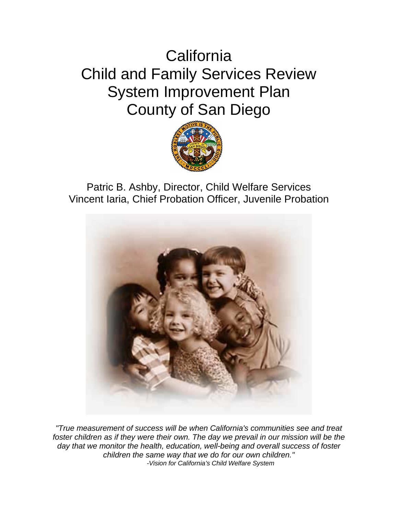# **California** Child and Family Services Review System Improvement Plan County of San Diego



Patric B. Ashby, Director, Child Welfare Services Vincent Iaria, Chief Probation Officer, Juvenile Probation



*"True measurement of success will be when California's communities see and treat*  foster children as if they were their own. The day we prevail in our mission will be the *day that we monitor the health, education, well-being and overall success of foster children the same way that we do for our own children." -Vision for California's Child Welfare System*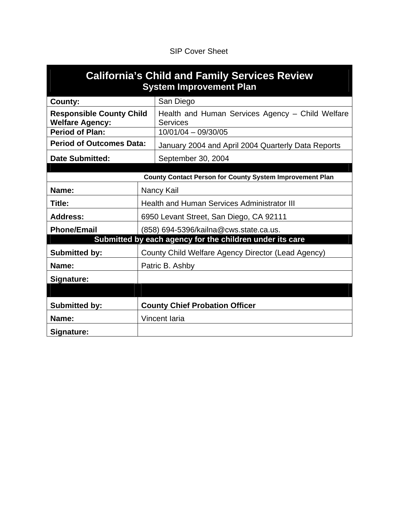## SIP Cover Sheet

| <b>California's Child and Family Services Review</b><br><b>System Improvement Plan</b> |               |                                                                     |  |  |  |  |  |  |  |  |  |
|----------------------------------------------------------------------------------------|---------------|---------------------------------------------------------------------|--|--|--|--|--|--|--|--|--|
| County:                                                                                |               | San Diego                                                           |  |  |  |  |  |  |  |  |  |
| <b>Responsible County Child</b><br><b>Welfare Agency:</b>                              |               | Health and Human Services Agency – Child Welfare<br><b>Services</b> |  |  |  |  |  |  |  |  |  |
| <b>Period of Plan:</b>                                                                 |               | $10/01/04 - 09/30/05$                                               |  |  |  |  |  |  |  |  |  |
| <b>Period of Outcomes Data:</b>                                                        |               | January 2004 and April 2004 Quarterly Data Reports                  |  |  |  |  |  |  |  |  |  |
| <b>Date Submitted:</b>                                                                 |               | September 30, 2004                                                  |  |  |  |  |  |  |  |  |  |
|                                                                                        |               |                                                                     |  |  |  |  |  |  |  |  |  |
|                                                                                        |               | <b>County Contact Person for County System Improvement Plan</b>     |  |  |  |  |  |  |  |  |  |
| Name:                                                                                  |               | Nancy Kail                                                          |  |  |  |  |  |  |  |  |  |
| Title:                                                                                 |               | <b>Health and Human Services Administrator III</b>                  |  |  |  |  |  |  |  |  |  |
| <b>Address:</b>                                                                        |               | 6950 Levant Street, San Diego, CA 92111                             |  |  |  |  |  |  |  |  |  |
| <b>Phone/Email</b>                                                                     |               | (858) 694-5396/kailna@cws.state.ca.us.                              |  |  |  |  |  |  |  |  |  |
|                                                                                        |               | Submitted by each agency for the children under its care            |  |  |  |  |  |  |  |  |  |
| <b>Submitted by:</b>                                                                   |               | County Child Welfare Agency Director (Lead Agency)                  |  |  |  |  |  |  |  |  |  |
| Name:                                                                                  |               | Patric B. Ashby                                                     |  |  |  |  |  |  |  |  |  |
| Signature:                                                                             |               |                                                                     |  |  |  |  |  |  |  |  |  |
|                                                                                        |               |                                                                     |  |  |  |  |  |  |  |  |  |
| <b>Submitted by:</b>                                                                   |               | <b>County Chief Probation Officer</b>                               |  |  |  |  |  |  |  |  |  |
| Name:                                                                                  | Vincent Iaria |                                                                     |  |  |  |  |  |  |  |  |  |
| Signature:                                                                             |               |                                                                     |  |  |  |  |  |  |  |  |  |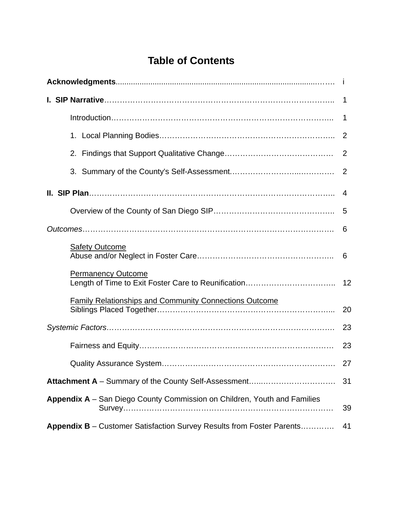# **Table of Contents**

|                                                                              | 1              |
|------------------------------------------------------------------------------|----------------|
|                                                                              | $\mathbf 1$    |
|                                                                              |                |
|                                                                              | $\overline{2}$ |
|                                                                              |                |
|                                                                              | 4              |
|                                                                              | -5             |
|                                                                              |                |
| <b>Safety Outcome</b>                                                        | 6              |
| <b>Permanency Outcome</b>                                                    | 12             |
| <b>Family Relationships and Community Connections Outcome</b>                | 20             |
|                                                                              | 23             |
|                                                                              | 23             |
|                                                                              | 27             |
|                                                                              | 31             |
| Appendix A - San Diego County Commission on Children, Youth and Families     | 39             |
| <b>Appendix B</b> – Customer Satisfaction Survey Results from Foster Parents | 41             |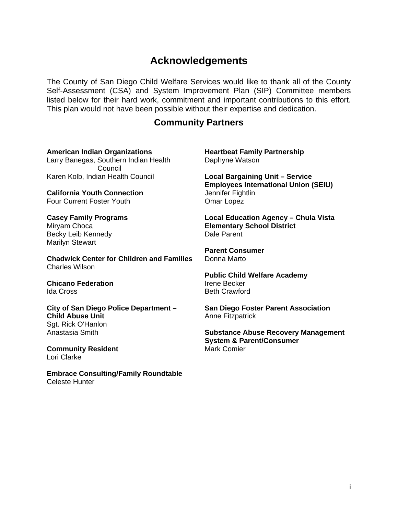# **Acknowledgements**

The County of San Diego Child Welfare Services would like to thank all of the County Self-Assessment (CSA) and System Improvement Plan (SIP) Committee members listed below for their hard work, commitment and important contributions to this effort. This plan would not have been possible without their expertise and dedication.

# **Community Partners**

**American Indian Organizations**  Larry Banegas, Southern Indian Health Council Karen Kolb, Indian Health Council

**California Youth Connection**  Four Current Foster Youth

# **Casey Family Programs**  Mirvam Choca

Becky Leib Kennedy Marilyn Stewart

**Chadwick Center for Children and Families**  Charles Wilson

#### **Chicano Federation**  Ida Cross

**City of San Diego Police Department – Child Abuse Unit**  Sgt. Rick O'Hanlon Anastasia Smith

**Community Resident** Lori Clarke

**Embrace Consulting/Family Roundtable**  Celeste Hunter

**Heartbeat Family Partnership**  Daphyne Watson

**Local Bargaining Unit – Service Employees International Union (SEIU)**  Jennifer Fightlin Omar Lopez

**Local Education Agency – Chula Vista Elementary School District**  Dale Parent

**Parent Consumer**  Donna Marto

**Public Child Welfare Academy**  Irene Becker Beth Crawford

**San Diego Foster Parent Association**  Anne Fitzpatrick

**Substance Abuse Recovery Management System & Parent/Consumer** Mark Comier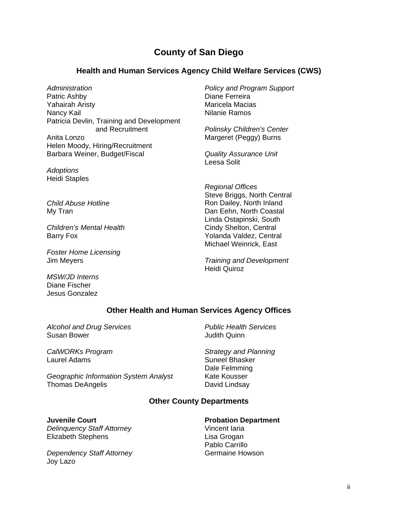# **County of San Diego**

### **Health and Human Services Agency Child Welfare Services (CWS)**

*Administration*  Patric Ashby Yahairah Aristy Nancy Kail Patricia Devlin, Training and Development and Recruitment Anita Lonzo Helen Moody, Hiring/Recruitment Barbara Weiner, Budget/Fiscal

*Adoptions*  Heidi Staples

*Child Abuse Hotline*  My Tran

*Children's Mental Health*  Barry Fox

*Foster Home Licensing*  Jim Meyers

*MSW/JD Interns*  Diane Fischer Jesus Gonzalez

*Policy and Program Support* Diane Ferreira Maricela Macias Nilanie Ramos

*Polinsky Children's Center*  Margeret (Peggy) Burns

*Quality Assurance Unit*  Leesa Solit

*Regional Offices*  Steve Briggs, North Central Ron Dailey, North Inland Dan Eehn, North Coastal Linda Ostapinski, South Cindy Shelton, Central Yolanda Valdez, Central Michael Weinrick, East

*Training and Development*  Heidi Quiroz

### **Other Health and Human Services Agency Offices**

*Alcohol and Drug Services*  Susan Bower

*CalWORKs Program*  Laurel Adams

*Geographic Information System Analyst*  Thomas DeAngelis

*Public Health Services*  Judith Quinn

*Strategy and Planning*  Suneel Bhasker Dale Felmming Kate Kousser David Lindsay

### **Other County Departments**

#### **Juvenile Court**

*Delinquency Staff Attorney*  Elizabeth Stephens

*Dependency Staff Attorney*  Joy Lazo

#### **Probation Department**  Vincent Iaria

Lisa Grogan Pablo Carrillo Germaine Howson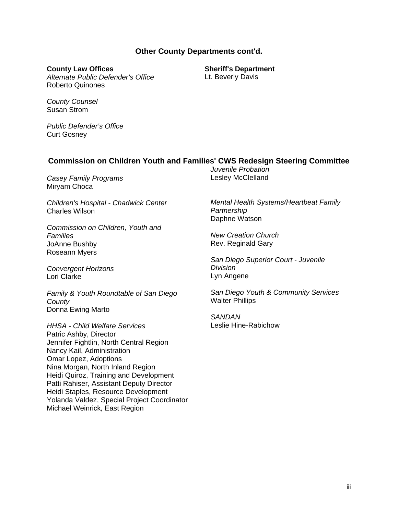### **Other County Departments cont'd.**

#### **County Law Offices**

*Alternate Public Defender's Office*  Roberto Quinones

**Sheriff's Department**  Lt. Beverly Davis

*County Counsel*  Susan Strom

*Public Defender's Office*  Curt Gosney

### **Commission on Children Youth and Families' CWS Redesign Steering Committee**

*Casey Family Programs*  Miryam Choca

*Children's Hospital - Chadwick Center*  Charles Wilson

*Commission on Children, Youth and Families* JoAnne Bushby Roseann Myers

*Convergent Horizons*  Lori Clarke

*Family & Youth Roundtable of San Diego County*  Donna Ewing Marto

*HHSA - Child Welfare Services*  Patric Ashby, Director Jennifer Fightlin, North Central Region Nancy Kail, Administration Omar Lopez, Adoptions Nina Morgan, North Inland Region Heidi Quiroz, Training and Development Patti Rahiser, Assistant Deputy Director Heidi Staples, Resource Development Yolanda Valdez, Special Project Coordinator Michael Weinrick*,* East Region

*Juvenile Probation*  Lesley McClelland

*Mental Health Systems/Heartbeat Family Partnership*  Daphne Watson

*New Creation Church*  Rev. Reginald Gary

*San Diego Superior Court - Juvenile Division*  Lyn Angene

*San Diego Youth & Community Services*  Walter Phillips

*SANDAN*  Leslie Hine-Rabichow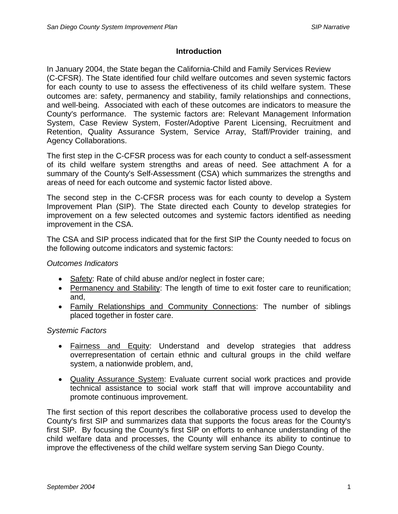### **Introduction**

In January 2004, the State began the California-Child and Family Services Review (C-CFSR). The State identified four child welfare outcomes and seven systemic factors for each county to use to assess the effectiveness of its child welfare system. These outcomes are: safety, permanency and stability, family relationships and connections, and well-being. Associated with each of these outcomes are indicators to measure the County's performance. The systemic factors are: Relevant Management Information System, Case Review System, Foster/Adoptive Parent Licensing, Recruitment and Retention, Quality Assurance System, Service Array, Staff/Provider training, and Agency Collaborations.

The first step in the C-CFSR process was for each county to conduct a self-assessment of its child welfare system strengths and areas of need. See attachment A for a summary of the County's Self-Assessment (CSA) which summarizes the strengths and areas of need for each outcome and systemic factor listed above.

The second step in the C-CFSR process was for each county to develop a System Improvement Plan (SIP). The State directed each County to develop strategies for improvement on a few selected outcomes and systemic factors identified as needing improvement in the CSA.

The CSA and SIP process indicated that for the first SIP the County needed to focus on the following outcome indicators and systemic factors:

### *Outcomes Indicators*

- Safety: Rate of child abuse and/or neglect in foster care;
- Permanency and Stability: The length of time to exit foster care to reunification; and,
- Family Relationships and Community Connections: The number of siblings placed together in foster care.

### *Systemic Factors*

- Fairness and Equity: Understand and develop strategies that address overrepresentation of certain ethnic and cultural groups in the child welfare system, a nationwide problem, and,
- Quality Assurance System: Evaluate current social work practices and provide technical assistance to social work staff that will improve accountability and promote continuous improvement.

The first section of this report describes the collaborative process used to develop the County's first SIP and summarizes data that supports the focus areas for the County's first SIP. By focusing the County's first SIP on efforts to enhance understanding of the child welfare data and processes, the County will enhance its ability to continue to improve the effectiveness of the child welfare system serving San Diego County.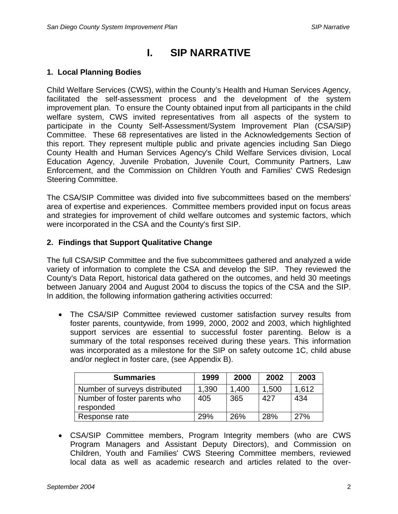# **I. SIP NARRATIVE**

### **1. Local Planning Bodies**

Child Welfare Services (CWS), within the County's Health and Human Services Agency, facilitated the self-assessment process and the development of the system improvement plan. To ensure the County obtained input from all participants in the child welfare system, CWS invited representatives from all aspects of the system to participate in the County Self-Assessment/System Improvement Plan (CSA/SIP) Committee. These 68 representatives are listed in the Acknowledgements Section of this report. They represent multiple public and private agencies including San Diego County Health and Human Services Agency's Child Welfare Services division, Local Education Agency, Juvenile Probation, Juvenile Court, Community Partners, Law Enforcement, and the Commission on Children Youth and Families' CWS Redesign Steering Committee.

The CSA/SIP Committee was divided into five subcommittees based on the members' area of expertise and experiences. Committee members provided input on focus areas and strategies for improvement of child welfare outcomes and systemic factors, which were incorporated in the CSA and the County's first SIP.

### **2. Findings that Support Qualitative Change**

The full CSA/SIP Committee and the five subcommittees gathered and analyzed a wide variety of information to complete the CSA and develop the SIP. They reviewed the County's Data Report, historical data gathered on the outcomes, and held 30 meetings between January 2004 and August 2004 to discuss the topics of the CSA and the SIP. In addition, the following information gathering activities occurred:

• The CSA/SIP Committee reviewed customer satisfaction survey results from foster parents, countywide, from 1999, 2000, 2002 and 2003, which highlighted support services are essential to successful foster parenting. Below is a summary of the total responses received during these years. This information was incorporated as a milestone for the SIP on safety outcome 1C, child abuse and/or neglect in foster care, (see Appendix B).

| <b>Summaries</b>                          | 1999  | 2000  | 2002  | 2003  |
|-------------------------------------------|-------|-------|-------|-------|
| Number of surveys distributed             | 1,390 | 1.400 | 1,500 | 1.612 |
| Number of foster parents who<br>responded | 405   | 365   | 427   | 434   |
| Response rate                             | 29%   | 26%   | 28%   | 27%   |

• CSA/SIP Committee members, Program Integrity members (who are CWS Program Managers and Assistant Deputy Directors), and Commission on Children, Youth and Families' CWS Steering Committee members, reviewed local data as well as academic research and articles related to the over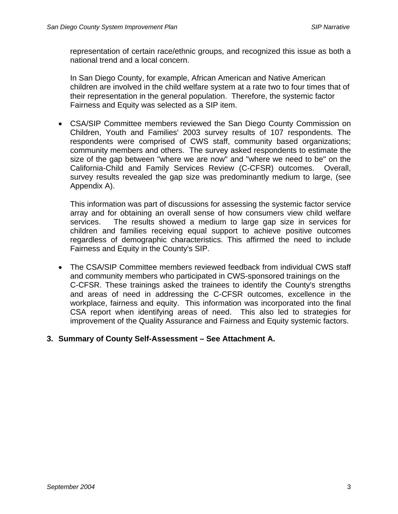representation of certain race/ethnic groups, and recognized this issue as both a national trend and a local concern.

In San Diego County, for example, African American and Native American children are involved in the child welfare system at a rate two to four times that of their representation in the general population. Therefore, the systemic factor Fairness and Equity was selected as a SIP item.

• CSA/SIP Committee members reviewed the San Diego County Commission on Children, Youth and Families' 2003 survey results of 107 respondents. The respondents were comprised of CWS staff, community based organizations; community members and others. The survey asked respondents to estimate the size of the gap between "where we are now" and "where we need to be" on the California-Child and Family Services Review (C-CFSR) outcomes. Overall, survey results revealed the gap size was predominantly medium to large, (see Appendix A).

This information was part of discussions for assessing the systemic factor service array and for obtaining an overall sense of how consumers view child welfare services. The results showed a medium to large gap size in services for children and families receiving equal support to achieve positive outcomes regardless of demographic characteristics. This affirmed the need to include Fairness and Equity in the County's SIP.

• The CSA/SIP Committee members reviewed feedback from individual CWS staff and community members who participated in CWS-sponsored trainings on the C-CFSR. These trainings asked the trainees to identify the County's strengths and areas of need in addressing the C-CFSR outcomes, excellence in the workplace, fairness and equity. This information was incorporated into the final CSA report when identifying areas of need. This also led to strategies for improvement of the Quality Assurance and Fairness and Equity systemic factors.

### **3. Summary of County Self-Assessment – See Attachment A.**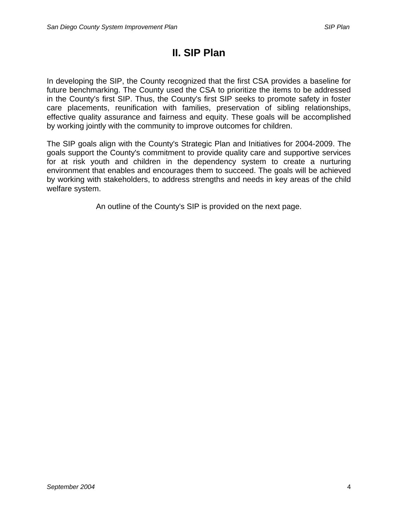# **II. SIP Plan**

In developing the SIP, the County recognized that the first CSA provides a baseline for future benchmarking. The County used the CSA to prioritize the items to be addressed in the County's first SIP. Thus, the County's first SIP seeks to promote safety in foster care placements, reunification with families, preservation of sibling relationships, effective quality assurance and fairness and equity. These goals will be accomplished by working jointly with the community to improve outcomes for children.

The SIP goals align with the County's Strategic Plan and Initiatives for 2004-2009. The goals support the County's commitment to provide quality care and supportive services for at risk youth and children in the dependency system to create a nurturing environment that enables and encourages them to succeed. The goals will be achieved by working with stakeholders, to address strengths and needs in key areas of the child welfare system.

An outline of the County's SIP is provided on the next page.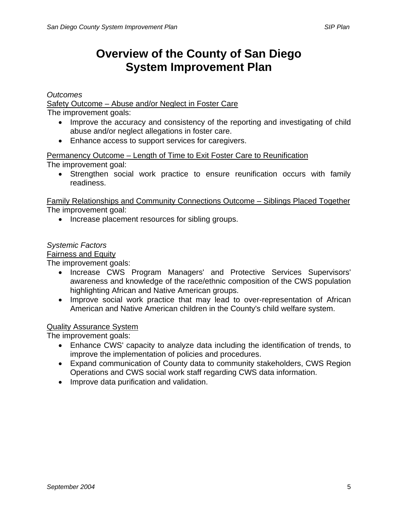# **Overview of the County of San Diego System Improvement Plan**

*Outcomes* 

Safety Outcome – Abuse and/or Neglect in Foster Care

The improvement goals:

- Improve the accuracy and consistency of the reporting and investigating of child abuse and/or neglect allegations in foster care.
- Enhance access to support services for caregivers.

Permanency Outcome – Length of Time to Exit Foster Care to Reunification The improvement goal:

• Strengthen social work practice to ensure reunification occurs with family readiness.

Family Relationships and Community Connections Outcome – Siblings Placed Together The improvement goal:

• Increase placement resources for sibling groups.

### *Systemic Factors*

Fairness and Equity

The improvement goals:

- Increase CWS Program Managers' and Protective Services Supervisors' awareness and knowledge of the race/ethnic composition of the CWS population highlighting African and Native American groups.
- Improve social work practice that may lead to over-representation of African American and Native American children in the County's child welfare system.

### Quality Assurance System

The improvement goals:

- Enhance CWS' capacity to analyze data including the identification of trends, to improve the implementation of policies and procedures.
- Expand communication of County data to community stakeholders, CWS Region Operations and CWS social work staff regarding CWS data information.
- Improve data purification and validation.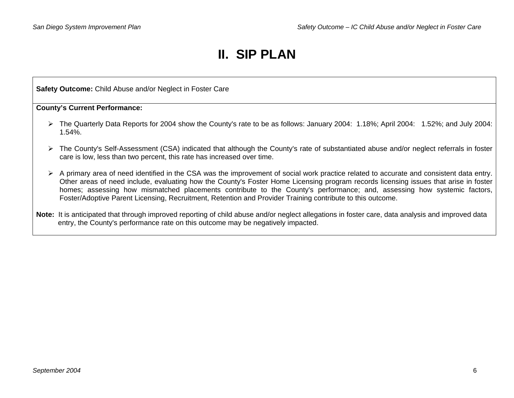# **II. SIP PLAN**

**Safety Outcome:** Child Abuse and/or Neglect in Foster Care

**County's Current Performance:** 

- ¾ The Quarterly Data Reports for 2004 show the County's rate to be as follows: January 2004: 1.18%; April 2004: 1.52%; and July 2004: 1.54%.
- ¾ The County's Self-Assessment (CSA) indicated that although the County's rate of substantiated abuse and/or neglect referrals in foster care is low, less than two percent, this rate has increased over time.
- ¾ A primary area of need identified in the CSA was the improvement of social work practice related to accurate and consistent data entry. Other areas of need include, evaluating how the County's Foster Home Licensing program records licensing issues that arise in foster homes; assessing how mismatched placements contribute to the County's performance; and, assessing how systemic factors, Foster/Adoptive Parent Licensing, Recruitment, Retention and Provider Training contribute to this outcome.
- **Note:** It is anticipated that through improved reporting of child abuse and/or neglect allegations in foster care, data analysis and improved data entry, the County's performance rate on this outcome may be negatively impacted.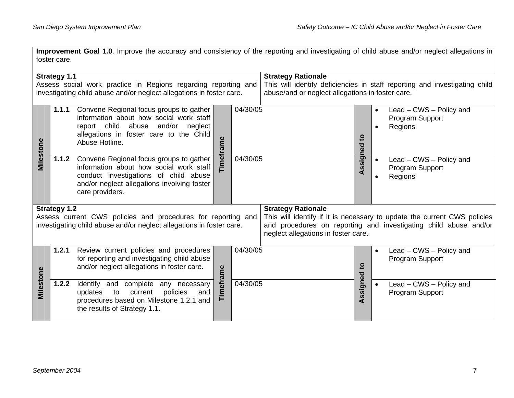|                                                                                                                                                               | Improvement Goal 1.0. Improve the accuracy and consistency of the reporting and investigating of child abuse and/or neglect allegations in<br>foster care. |                                                                                                                                                                                               |                                                                                                                                                             |                                                                  |              |                          |                                                                                                                                              |                                                       |  |  |  |
|---------------------------------------------------------------------------------------------------------------------------------------------------------------|------------------------------------------------------------------------------------------------------------------------------------------------------------|-----------------------------------------------------------------------------------------------------------------------------------------------------------------------------------------------|-------------------------------------------------------------------------------------------------------------------------------------------------------------|------------------------------------------------------------------|--------------|--------------------------|----------------------------------------------------------------------------------------------------------------------------------------------|-------------------------------------------------------|--|--|--|
| <b>Strategy 1.1</b><br>Assess social work practice in Regions regarding reporting and<br>investigating child abuse and/or neglect allegations in foster care. |                                                                                                                                                            |                                                                                                                                                                                               | <b>Strategy Rationale</b><br>This will identify deficiencies in staff reporting and investigating child<br>abuse/and or neglect allegations in foster care. |                                                                  |              |                          |                                                                                                                                              |                                                       |  |  |  |
|                                                                                                                                                               | 1.1.1                                                                                                                                                      | Convene Regional focus groups to gather<br>information about how social work staff<br>report child abuse and/or<br>neglect<br>allegations in foster care to the Child<br>Abuse Hotline.       | <b>Timeframe</b>                                                                                                                                            | 04/30/05                                                         |              | $\mathbf{5}$<br>Assigned | $\bullet$                                                                                                                                    | Lead - CWS - Policy and<br>Program Support<br>Regions |  |  |  |
| Milestone                                                                                                                                                     | 1.1.2                                                                                                                                                      | Convene Regional focus groups to gather<br>information about how social work staff<br>conduct investigations of child abuse<br>and/or neglect allegations involving foster<br>care providers. |                                                                                                                                                             | $\sqrt{04/30/05}$                                                |              |                          | $\bullet$                                                                                                                                    | Lead – CWS – Policy and<br>Program Support<br>Regions |  |  |  |
| <b>Strategy 1.2</b><br>Assess current CWS policies and procedures for reporting and<br>investigating child abuse and/or neglect allegations in foster care.   |                                                                                                                                                            |                                                                                                                                                                                               |                                                                                                                                                             | <b>Strategy Rationale</b><br>neglect allegations in foster care. |              |                          | This will identify if it is necessary to update the current CWS policies<br>and procedures on reporting and investigating child abuse and/or |                                                       |  |  |  |
| Milestone                                                                                                                                                     | 1.2.1                                                                                                                                                      | Review current policies and procedures<br>for reporting and investigating child abuse<br>and/or neglect allegations in foster care.                                                           |                                                                                                                                                             | 04/30/05                                                         | $\mathbf{c}$ |                          |                                                                                                                                              | Lead – CWS – Policy and<br>Program Support            |  |  |  |
|                                                                                                                                                               | 1.2.2                                                                                                                                                      | Identify and complete any necessary<br>policies<br>updates<br>current<br>and<br>to<br>procedures based on Milestone 1.2.1 and<br>the results of Strategy 1.1.                                 | Timeframe                                                                                                                                                   | 04/30/05                                                         |              | Assigned                 |                                                                                                                                              | Lead – CWS – Policy and<br>Program Support            |  |  |  |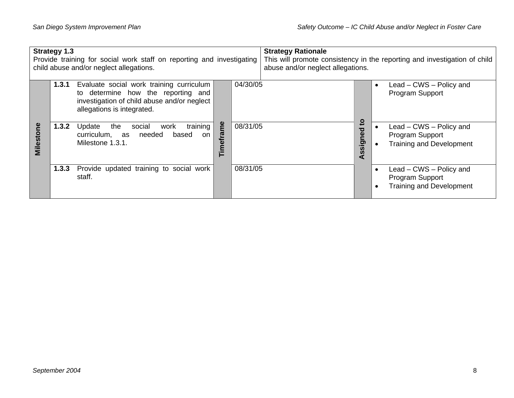|           | <b>Strategy 1.3</b> | Provide training for social work staff on reporting and investigating<br>child abuse and/or neglect allegations.                                            |                    |          | <b>Strategy Rationale</b><br>abuse and/or neglect allegations. |                                |           | This will promote consistency in the reporting and investigation of child            |
|-----------|---------------------|-------------------------------------------------------------------------------------------------------------------------------------------------------------|--------------------|----------|----------------------------------------------------------------|--------------------------------|-----------|--------------------------------------------------------------------------------------|
|           | 1.3.1               | Evaluate social work training curriculum<br>to determine how the reporting and<br>investigation of child abuse and/or neglect<br>allegations is integrated. |                    | 04/30/05 |                                                                |                                |           | Lead – CWS – Policy and<br>Program Support                                           |
| Milestone | 1.3.2               | training  <br>the<br>Update<br>social<br>work<br>needed<br>based<br>curriculum, as<br>on<br>Milestone 1.3.1.                                                | me<br>ra<br>둡<br>Ĕ | 08/31/05 |                                                                | <u>ي</u><br>signed<br><b>S</b> | $\bullet$ | Lead - CWS - Policy and<br>Program Support<br><b>Training and Development</b>        |
|           | 1.3.3               | Provide updated training to social work<br>staff.                                                                                                           |                    | 08/31/05 |                                                                |                                |           | Lead - CWS - Policy and<br><b>Program Support</b><br><b>Training and Development</b> |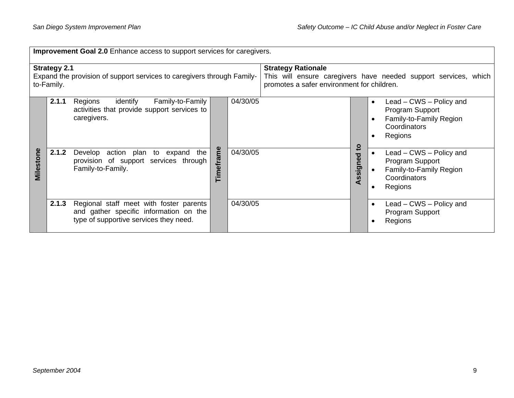|                                                                                                             | Improvement Goal 2.0 Enhance access to support services for caregivers. |                                                                                                                             |                      |                                                                                                                                            |  |                             |                                                                                                  |  |  |  |  |
|-------------------------------------------------------------------------------------------------------------|-------------------------------------------------------------------------|-----------------------------------------------------------------------------------------------------------------------------|----------------------|--------------------------------------------------------------------------------------------------------------------------------------------|--|-----------------------------|--------------------------------------------------------------------------------------------------|--|--|--|--|
| <b>Strategy 2.1</b><br>Expand the provision of support services to caregivers through Family-<br>to-Family. |                                                                         |                                                                                                                             |                      | <b>Strategy Rationale</b><br>This will ensure caregivers have needed support services, which<br>promotes a safer environment for children. |  |                             |                                                                                                  |  |  |  |  |
|                                                                                                             | 2.1.1                                                                   | identify<br>Family-to-Family<br>Regions<br>activities that provide support services to<br>caregivers.                       |                      | 04/30/05                                                                                                                                   |  |                             | Lead – CWS – Policy and<br>Program Support<br>Family-to-Family Region<br>Coordinators<br>Regions |  |  |  |  |
| Milestone                                                                                                   | 2.1.2                                                                   | action plan to expand<br>the<br>Develop<br>provision of support services through<br>Family-to-Family.                       | me<br><b>Timefra</b> | 04/30/05                                                                                                                                   |  | ٥,<br>ਹ<br><u>e</u><br>ssig | Lead – CWS – Policy and<br>Program Support<br>Family-to-Family Region<br>Coordinators<br>Regions |  |  |  |  |
|                                                                                                             | 2.1.3                                                                   | Regional staff meet with foster parents<br>and gather specific information on the<br>type of supportive services they need. |                      | 04/30/05                                                                                                                                   |  |                             | Lead – CWS – Policy and<br>Program Support<br>Regions                                            |  |  |  |  |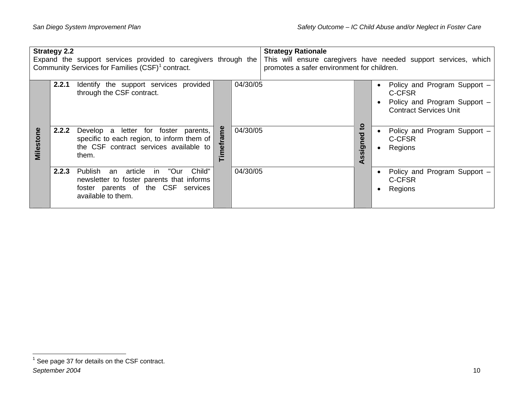| <b>Strategy 2.2</b><br>Expand the support services provided to caregivers through the<br>Community Services for Families (CSF) <sup>1</sup> contract. |       |                                                                                                                                                                   |                   | <b>Strategy Rationale</b><br>This will ensure caregivers have needed support services, which<br>promotes a safer environment for children. |  |          |  |                                                                                                         |
|-------------------------------------------------------------------------------------------------------------------------------------------------------|-------|-------------------------------------------------------------------------------------------------------------------------------------------------------------------|-------------------|--------------------------------------------------------------------------------------------------------------------------------------------|--|----------|--|---------------------------------------------------------------------------------------------------------|
|                                                                                                                                                       | 2.2.1 | Identify the support services provided<br>through the CSF contract.                                                                                               |                   | 04/30/05                                                                                                                                   |  | O        |  | Policy and Program Support -<br>C-CFSR<br>Policy and Program Support -<br><b>Contract Services Unit</b> |
| <b>Milestone</b>                                                                                                                                      | 2.2.2 | Develop a letter for foster parents,<br>specific to each region, to inform them of $\vert$<br>the CSF contract services available to<br>them.                     | ဠ<br>ច<br>đ.<br>트 | 04/30/05                                                                                                                                   |  | ठ<br>sig |  | Policy and Program Support -<br>C-CFSR<br>Regions                                                       |
|                                                                                                                                                       | 2.2.3 | "Our<br>Child"<br><b>Publish</b><br>article<br>in.<br>an<br>newsletter to foster parents that informs<br>foster parents of the CSF services<br>available to them. |                   | 04/30/05                                                                                                                                   |  |          |  | Policy and Program Support -<br>C-CFSR<br>Regions                                                       |

<span id="page-15-0"></span>*ber 2004 Septem*  $<sup>1</sup>$  See page 37 for details on the CSF contract.</sup>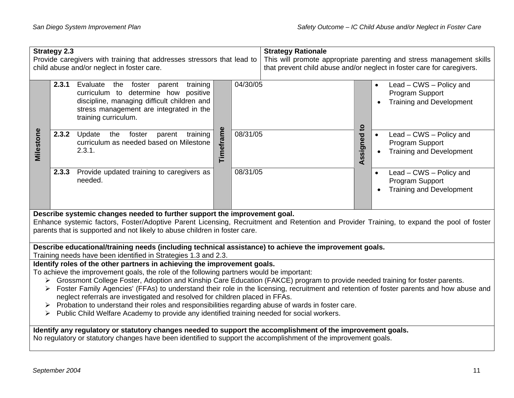|                                                                                                                                                                                                                                                                                                                                                                                                                                                                                                                                                                                                                                                                                                                                                                                                             | <b>Strategy 2.3</b><br>Provide caregivers with training that addresses stressors that lead to<br>child abuse and/or neglect in foster care.                                                                                    |                                                                                                                                                                                                                                                                                                      |           |          | <b>Strategy Rationale</b><br>This will promote appropriate parenting and stress management skills<br>that prevent child abuse and/or neglect in foster care for caregivers. |             |                                                                               |  |  |
|-------------------------------------------------------------------------------------------------------------------------------------------------------------------------------------------------------------------------------------------------------------------------------------------------------------------------------------------------------------------------------------------------------------------------------------------------------------------------------------------------------------------------------------------------------------------------------------------------------------------------------------------------------------------------------------------------------------------------------------------------------------------------------------------------------------|--------------------------------------------------------------------------------------------------------------------------------------------------------------------------------------------------------------------------------|------------------------------------------------------------------------------------------------------------------------------------------------------------------------------------------------------------------------------------------------------------------------------------------------------|-----------|----------|-----------------------------------------------------------------------------------------------------------------------------------------------------------------------------|-------------|-------------------------------------------------------------------------------|--|--|
|                                                                                                                                                                                                                                                                                                                                                                                                                                                                                                                                                                                                                                                                                                                                                                                                             | 2.3.1                                                                                                                                                                                                                          | Evaluate the foster parent training<br>curriculum to determine how positive<br>discipline, managing difficult children and<br>stress management are integrated in the<br>training curriculum.                                                                                                        |           | 04/30/05 |                                                                                                                                                                             | Assigned to | Lead - CWS - Policy and<br>Program Support<br><b>Training and Development</b> |  |  |
| Milestone                                                                                                                                                                                                                                                                                                                                                                                                                                                                                                                                                                                                                                                                                                                                                                                                   | 2.3.2                                                                                                                                                                                                                          | Update<br>the foster<br>parent training<br>curriculum as needed based on Milestone<br>2.3.1.                                                                                                                                                                                                         | Timeframe | 08/31/05 |                                                                                                                                                                             |             | Lead - CWS - Policy and<br>Program Support<br><b>Training and Development</b> |  |  |
|                                                                                                                                                                                                                                                                                                                                                                                                                                                                                                                                                                                                                                                                                                                                                                                                             |                                                                                                                                                                                                                                | 2.3.3 Provide updated training to caregivers as<br>needed.                                                                                                                                                                                                                                           |           | 08/31/05 |                                                                                                                                                                             |             | Lead - CWS - Policy and<br>Program Support<br><b>Training and Development</b> |  |  |
|                                                                                                                                                                                                                                                                                                                                                                                                                                                                                                                                                                                                                                                                                                                                                                                                             |                                                                                                                                                                                                                                | Describe systemic changes needed to further support the improvement goal.<br>Enhance systemic factors, Foster/Adoptive Parent Licensing, Recruitment and Retention and Provider Training, to expand the pool of foster<br>parents that is supported and not likely to abuse children in foster care. |           |          |                                                                                                                                                                             |             |                                                                               |  |  |
|                                                                                                                                                                                                                                                                                                                                                                                                                                                                                                                                                                                                                                                                                                                                                                                                             |                                                                                                                                                                                                                                | Describe educational/training needs (including technical assistance) to achieve the improvement goals.                                                                                                                                                                                               |           |          |                                                                                                                                                                             |             |                                                                               |  |  |
| Training needs have been identified in Strategies 1.3 and 2.3.<br>Identify roles of the other partners in achieving the improvement goals.<br>To achieve the improvement goals, the role of the following partners would be important:<br>> Grossmont College Foster, Adoption and Kinship Care Education (FAKCE) program to provide needed training for foster parents.<br>Foster Family Agencies' (FFAs) to understand their role in the licensing, recruitment and retention of foster parents and how abuse and<br>➤<br>neglect referrals are investigated and resolved for children placed in FFAs.<br>Probation to understand their roles and responsibilities regarding abuse of wards in foster care.<br>Public Child Welfare Academy to provide any identified training needed for social workers. |                                                                                                                                                                                                                                |                                                                                                                                                                                                                                                                                                      |           |          |                                                                                                                                                                             |             |                                                                               |  |  |
|                                                                                                                                                                                                                                                                                                                                                                                                                                                                                                                                                                                                                                                                                                                                                                                                             | Identify any regulatory or statutory changes needed to support the accomplishment of the improvement goals.<br>No regulatory or statutory changes have been identified to support the accomplishment of the improvement goals. |                                                                                                                                                                                                                                                                                                      |           |          |                                                                                                                                                                             |             |                                                                               |  |  |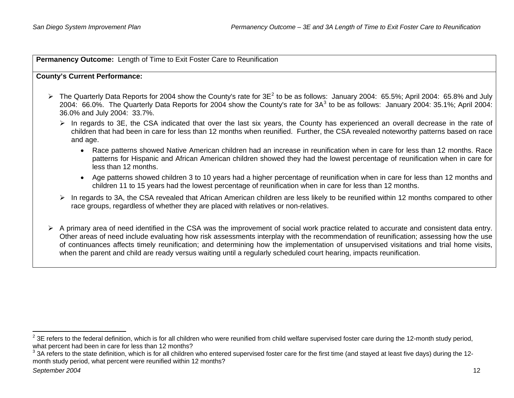**Permanency Outcome:** Length of Time to Exit Foster Care to Reunification

### **County's Current Performance:**

- $\triangleright$  The Quarterly Data Reports for [2](#page-17-0)004 show the County's rate for  $3E^2$  to be as follows: January 2004: 65.5%; April 2004: 65.8% and July 2004: 66.0%. The Quarterly Data Reports for 2004 show the County's rate for  $3A^3$  $3A^3$  to be as follows: January 2004: 35.1%; April 2004: 36.0% and July 2004: 33.7%.
	- $\triangleright$  In regards to 3E, the CSA indicated that over the last six years, the County has experienced an overall decrease in the rate of children that had been in care for less than 12 months when reunified. Further, the CSA revealed noteworthy patterns based on race and age.
		- Race patterns showed Native American children had an increase in reunification when in care for less than 12 months. Race patterns for Hispanic and African American children showed they had the lowest percentage of reunification when in care for less than 12 months.
		- Age patterns showed children 3 to 10 years had a higher percentage of reunification when in care for less than 12 months and children 11 to 15 years had the lowest percentage of reunification when in care for less than 12 months.
	- $\triangleright$  In regards to 3A, the CSA revealed that African American children are less likely to be reunified within 12 months compared to other race groups, regardless of whether they are placed with relatives or non-relatives.
- $\triangleright$  A primary area of need identified in the CSA was the improvement of social work practice related to accurate and consistent data entry. Other areas of need include evaluating how risk assessments interplay with the recommendation of reunification; assessing how the use of continuances affects timely reunification; and determining how the implementation of unsupervised visitations and trial home visits, when the parent and child are ready versus waiting until a regularly scheduled court hearing, impacts reunification.

<span id="page-17-0"></span> $^{2}$  3E refers to the federal definition, which is for all children who were reunified from child welfare supervised foster care during the 12-month study period, what percent had been in care for less than 12 months?

<span id="page-17-1"></span> $3$  3A refers to the state definition, which is for all children who entered supervised foster care for the first time (and stayed at least five days) during the 12month study period, what percent were reunified within 12 months?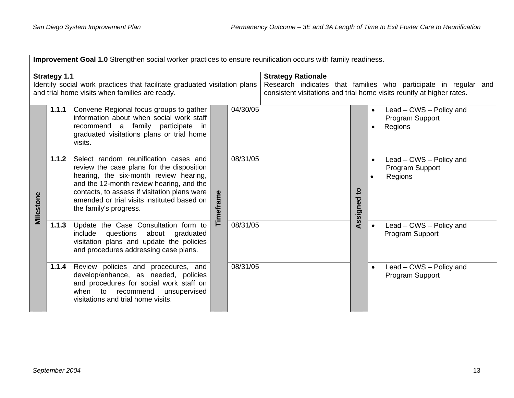|                                                                                                                                                    | Improvement Goal 1.0 Strengthen social worker practices to ensure reunification occurs with family readiness. |                                                                                                                                                                                                                                                                                                   |           |          |                                                                                                                                                                       |                          |                                                                                 |  |  |  |  |  |
|----------------------------------------------------------------------------------------------------------------------------------------------------|---------------------------------------------------------------------------------------------------------------|---------------------------------------------------------------------------------------------------------------------------------------------------------------------------------------------------------------------------------------------------------------------------------------------------|-----------|----------|-----------------------------------------------------------------------------------------------------------------------------------------------------------------------|--------------------------|---------------------------------------------------------------------------------|--|--|--|--|--|
| <b>Strategy 1.1</b><br>Identify social work practices that facilitate graduated visitation plans<br>and trial home visits when families are ready. |                                                                                                               |                                                                                                                                                                                                                                                                                                   |           |          | <b>Strategy Rationale</b><br>Research indicates that families who participate in regular and<br>consistent visitations and trial home visits reunify at higher rates. |                          |                                                                                 |  |  |  |  |  |
|                                                                                                                                                    | 1.1.1                                                                                                         | Convene Regional focus groups to gather<br>information about when social work staff<br>recommend a family participate in<br>graduated visitations plans or trial home<br>visits.                                                                                                                  |           | 04/30/05 |                                                                                                                                                                       |                          | Lead - CWS - Policy and<br>$\bullet$<br>Program Support<br>Regions<br>$\bullet$ |  |  |  |  |  |
| Milestone                                                                                                                                          | 1.1.2                                                                                                         | Select random reunification cases and<br>review the case plans for the disposition<br>hearing, the six-month review hearing,<br>and the 12-month review hearing, and the<br>contacts, to assess if visitation plans were<br>amended or trial visits instituted based on<br>the family's progress. | Timeframe | 08/31/05 |                                                                                                                                                                       | $\mathbf{5}$<br>Assigned | Lead – CWS – Policy and<br>$\bullet$<br>Program Support<br>Regions<br>$\bullet$ |  |  |  |  |  |
|                                                                                                                                                    | 1.1.3                                                                                                         | Update the Case Consultation form to<br>questions about graduated<br>include<br>visitation plans and update the policies<br>and procedures addressing case plans.                                                                                                                                 |           | 08/31/05 |                                                                                                                                                                       |                          | Lead - CWS - Policy and<br>Program Support                                      |  |  |  |  |  |
|                                                                                                                                                    | 1.1.4                                                                                                         | Review policies and procedures, and<br>develop/enhance, as needed, policies<br>and procedures for social work staff on<br>when to recommend<br>unsupervised<br>visitations and trial home visits.                                                                                                 |           | 08/31/05 |                                                                                                                                                                       |                          | Lead – CWS – Policy and<br>$\bullet$<br>Program Support                         |  |  |  |  |  |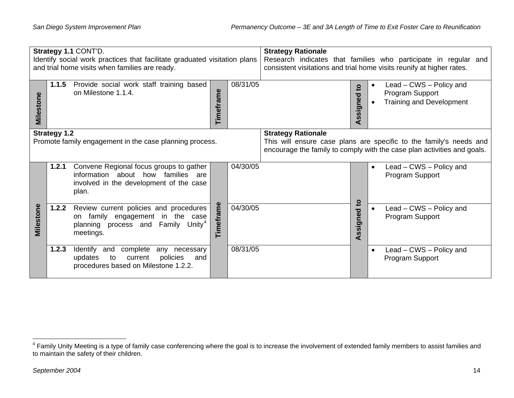| Strategy 1.1 CONT'D.<br>Identify social work practices that facilitate graduated visitation plans<br>and trial home visits when families are ready. |                     |                                                                                                                                           | <b>Strategy Rationale</b><br>Research indicates that families who participate in regular and<br>consistent visitations and trial home visits reunify at higher rates.      |          |  |  |                              |           |                                                                               |  |
|-----------------------------------------------------------------------------------------------------------------------------------------------------|---------------------|-------------------------------------------------------------------------------------------------------------------------------------------|----------------------------------------------------------------------------------------------------------------------------------------------------------------------------|----------|--|--|------------------------------|-----------|-------------------------------------------------------------------------------|--|
| Milestone                                                                                                                                           | 1.1.5               | Provide social work staff training based<br>on Milestone 1.1.4.                                                                           | Timeframe                                                                                                                                                                  | 08/31/05 |  |  | $\mathbf{c}$<br>Assigned     |           | Lead - CWS - Policy and<br>Program Support<br><b>Training and Development</b> |  |
|                                                                                                                                                     | <b>Strategy 1.2</b> | Promote family engagement in the case planning process.                                                                                   | <b>Strategy Rationale</b><br>This will ensure case plans are specific to the family's needs and<br>encourage the family to comply with the case plan activities and goals. |          |  |  |                              |           |                                                                               |  |
|                                                                                                                                                     | 1.2.1               | Convene Regional focus groups to gather<br>information about how families are<br>involved in the development of the case<br>plan.         |                                                                                                                                                                            | 04/30/05 |  |  |                              | $\bullet$ | Lead – CWS – Policy and<br>Program Support                                    |  |
| Milestone                                                                                                                                           | 1.2.2               | Review current policies and procedures<br>on family engagement in the case<br>planning process and Family Unity <sup>4</sup><br>meetings. | Timeframe                                                                                                                                                                  | 04/30/05 |  |  | $\mathbf{S}$<br>ssigned<br>⋖ |           | Lead - CWS - Policy and<br>Program Support                                    |  |
|                                                                                                                                                     | 1.2.3               | Identify and complete any necessary<br>policies<br>updates<br>to<br>current<br>and<br>procedures based on Milestone 1.2.2.                |                                                                                                                                                                            | 08/31/05 |  |  |                              | $\bullet$ | Lead - CWS - Policy and<br>Program Support                                    |  |

<span id="page-19-0"></span> $4$  Family Unity Meeting is a type of family case conferencing where the goal is to increase the involvement of extended family members to assist families and to maintain the safety of their children.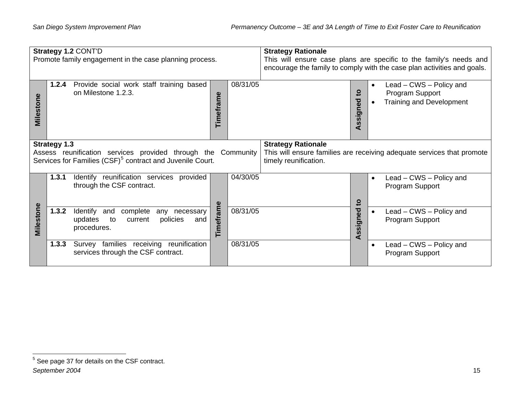|              | <b>Strategy 1.2 CONT'D</b>                                                                                                                                   |          | <b>Strategy Rationale</b>                                          |                              |                                                                               |  |  |
|--------------|--------------------------------------------------------------------------------------------------------------------------------------------------------------|----------|--------------------------------------------------------------------|------------------------------|-------------------------------------------------------------------------------|--|--|
|              | Promote family engagement in the case planning process.                                                                                                      |          | This will ensure case plans are specific to the family's needs and |                              |                                                                               |  |  |
|              |                                                                                                                                                              |          |                                                                    |                              | encourage the family to comply with the case plan activities and goals.       |  |  |
| έ<br>Milesto | Provide social work staff training based<br>1.2.4<br>on Milestone 1.2.3.<br>Timeframe                                                                        | 08/31/05 |                                                                    | $\mathbf{S}$<br>ssigned<br>∢ | Lead – CWS – Policy and<br>Program Support<br><b>Training and Development</b> |  |  |
|              | <b>Strategy 1.3</b><br>Assess reunification services provided through the Community<br>Services for Families (CSF) <sup>5</sup> contract and Juvenile Court. |          | <b>Strategy Rationale</b><br>timely reunification.                 |                              | This will ensure families are receiving adequate services that promote        |  |  |
|              | Identify reunification services provided<br>1.3.1<br>through the CSF contract.                                                                               | 04/30/05 |                                                                    | $\mathbf{S}$                 | Lead – CWS – Policy and<br>$\bullet$<br>Program Support                       |  |  |
| Milestone    | Timeframe<br>1.3.2<br>Identify<br>complete<br>and<br>any necessary<br>policies<br>updates<br>to<br>current<br>and<br>procedures.                             | 08/31/05 |                                                                    | Assigned                     | Lead - CWS - Policy and<br>Program Support                                    |  |  |
|              | Survey families receiving reunification<br>1.3.3<br>services through the CSF contract.                                                                       | 08/31/05 |                                                                    |                              | Lead - CWS - Policy and<br>Program Support                                    |  |  |

<span id="page-20-0"></span><sup>5</sup> See page 37 for details on the CSF contract.

*September 2004* 15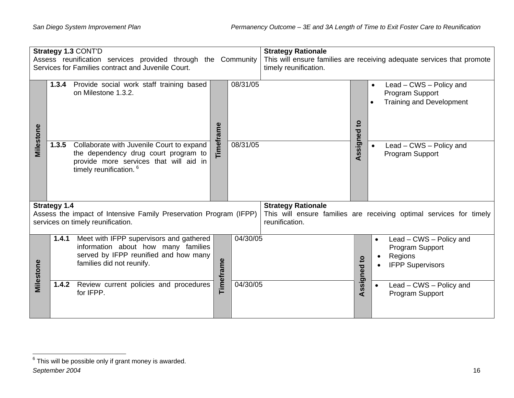| Strategy 1.3 CONT'D<br>Assess reunification services provided through the Community<br>Services for Families contract and Juvenile Court. |                     |                                                                                                                                                                   |           | <b>Strategy Rationale</b><br>This will ensure families are receiving adequate services that promote<br>timely reunification. |                                                                                                                    |              |           |                                                                                  |  |
|-------------------------------------------------------------------------------------------------------------------------------------------|---------------------|-------------------------------------------------------------------------------------------------------------------------------------------------------------------|-----------|------------------------------------------------------------------------------------------------------------------------------|--------------------------------------------------------------------------------------------------------------------|--------------|-----------|----------------------------------------------------------------------------------|--|
|                                                                                                                                           |                     | 1.3.4 Provide social work staff training based<br>on Milestone 1.3.2.                                                                                             | Timeframe | 08/31/05                                                                                                                     |                                                                                                                    | $\mathbf{5}$ |           | Lead - CWS - Policy and<br>Program Support<br><b>Training and Development</b>    |  |
| Milestone                                                                                                                                 | 1.3.5               | Collaborate with Juvenile Court to expand<br>the dependency drug court program to<br>provide more services that will aid in<br>timely reunification. <sup>6</sup> |           | 08/31/05                                                                                                                     |                                                                                                                    | Assigned     |           | Lead - CWS - Policy and<br>Program Support                                       |  |
|                                                                                                                                           | <b>Strategy 1.4</b> | Assess the impact of Intensive Family Preservation Program (IFPP)<br>services on timely reunification.                                                            |           |                                                                                                                              | <b>Strategy Rationale</b><br>This will ensure families are receiving optimal services for timely<br>reunification. |              |           |                                                                                  |  |
| Milestone                                                                                                                                 |                     | <b>1.4.1</b> Meet with IFPP supervisors and gathered<br>information about how many families<br>served by IFPP reunified and how many<br>families did not reunify. | Timeframe | 04/30/05                                                                                                                     |                                                                                                                    | Assigned to  |           | Lead - CWS - Policy and<br>Program Support<br>Regions<br><b>IFPP Supervisors</b> |  |
|                                                                                                                                           |                     | 1.4.2 Review current policies and procedures<br>for IFPP.                                                                                                         |           | 04/30/05                                                                                                                     |                                                                                                                    |              | $\bullet$ | Lead - CWS - Policy and<br>Program Support                                       |  |

<span id="page-21-0"></span> $6$  This will be possible only if grant money is awarded.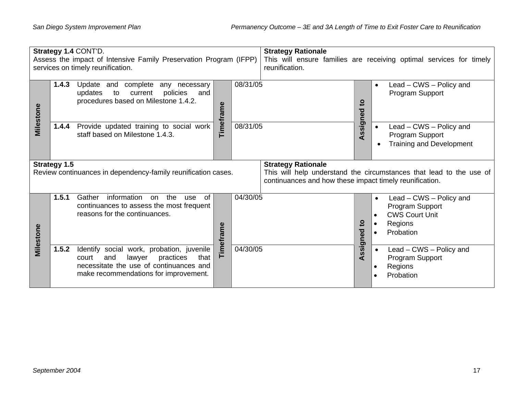| Strategy 1.4 CONT'D.<br>Assess the impact of Intensive Family Preservation Program (IFPP)<br>services on timely reunification. |                     |                                                                                                                                                                              | <b>Strategy Rationale</b><br>reunification. |          | This will ensure families are receiving optimal services for timely                  |                |                                                                                                                       |
|--------------------------------------------------------------------------------------------------------------------------------|---------------------|------------------------------------------------------------------------------------------------------------------------------------------------------------------------------|---------------------------------------------|----------|--------------------------------------------------------------------------------------|----------------|-----------------------------------------------------------------------------------------------------------------------|
| Milestone                                                                                                                      | 1.4.3               | Update and complete any necessary<br>updates<br>current<br>policies<br>to<br>and<br>procedures based on Milestone 1.4.2.                                                     | Timeframe                                   | 08/31/05 |                                                                                      | ਠ              | Lead – CWS – Policy and<br>Program Support                                                                            |
|                                                                                                                                | 1.4.4               | Provide updated training to social work<br>staff based on Milestone 1.4.3.                                                                                                   |                                             | 08/31/05 |                                                                                      | ssigne<br>⋖    | Lead – CWS – Policy and<br>Program Support<br><b>Training and Development</b>                                         |
|                                                                                                                                | <b>Strategy 1.5</b> | Review continuances in dependency-family reunification cases.                                                                                                                |                                             |          | <b>Strategy Rationale</b><br>continuances and how these impact timely reunification. |                | This will help understand the circumstances that lead to the use of                                                   |
| Milestone                                                                                                                      | 1.5.1               | information<br>Gather<br>on the<br><sub>of</sub><br>use<br>continuances to assess the most frequent<br>reasons for the continuances.                                         | Timeframe                                   | 04/30/05 |                                                                                      | ៓៝<br>Assigned | Lead – CWS – Policy and<br>$\bullet$<br>Program Support<br><b>CWS Court Unit</b><br>$\bullet$<br>Regions<br>Probation |
|                                                                                                                                | 1.5.2               | Identify social work, probation, juvenile<br>practices<br>lawyer<br>court<br>and<br>that<br>necessitate the use of continuances and<br>make recommendations for improvement. |                                             | 04/30/05 |                                                                                      |                | Lead – CWS – Policy and<br>Program Support<br>Regions<br>$\bullet$<br>Probation                                       |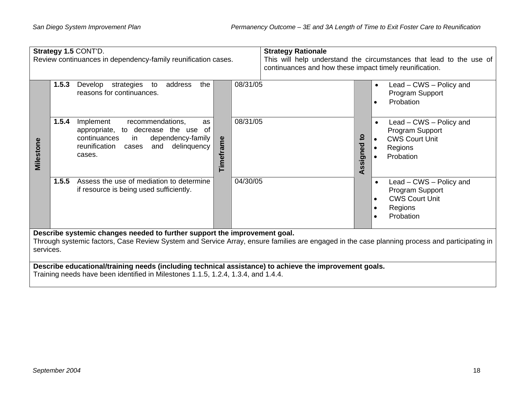|           | Strategy 1.5 CONT'D.<br>Review continuances in dependency-family reunification cases.                                                                                                                                                   | <b>Strategy Rationale</b><br>This will help understand the circumstances that lead to the use of<br>continuances and how these impact timely reunification. |  |  |  |  |  |  |
|-----------|-----------------------------------------------------------------------------------------------------------------------------------------------------------------------------------------------------------------------------------------|-------------------------------------------------------------------------------------------------------------------------------------------------------------|--|--|--|--|--|--|
|           | 08/31/05<br>1.5.3<br>strategies<br>address<br>the<br>Develop<br>to<br>reasons for continuances.                                                                                                                                         | Lead – CWS – Policy and<br>$\bullet$<br>Program Support<br>Probation                                                                                        |  |  |  |  |  |  |
| Milestone | 08/31/05<br>1.5.4<br>Implement<br>recommendations,<br>as<br>appropriate, to decrease the use of<br>continuances<br>dependency-family<br>in.<br>Timeframe<br>delinquency<br>reunification cases<br>and<br>cases.                         | Lead - CWS - Policy and<br>Program Support<br>Assigned to<br><b>CWS Court Unit</b><br>Regions<br>Probation                                                  |  |  |  |  |  |  |
|           | Assess the use of mediation to determine<br>1.5.5<br>04/30/05<br>if resource is being used sufficiently.                                                                                                                                | Lead - CWS - Policy and<br>$\bullet$<br>Program Support<br><b>CWS Court Unit</b><br>Regions<br>Probation                                                    |  |  |  |  |  |  |
|           | Describe systemic changes needed to further support the improvement goal.<br>Through systemic factors, Case Review System and Service Array, ensure families are engaged in the case planning process and participating in<br>services. |                                                                                                                                                             |  |  |  |  |  |  |
|           | Describe educational/training needs (including technical assistance) to achieve the improvement goals.<br>Training needs have been identified in Milestones 1.1.5, 1.2.4, 1.3.4, and 1.4.4.                                             |                                                                                                                                                             |  |  |  |  |  |  |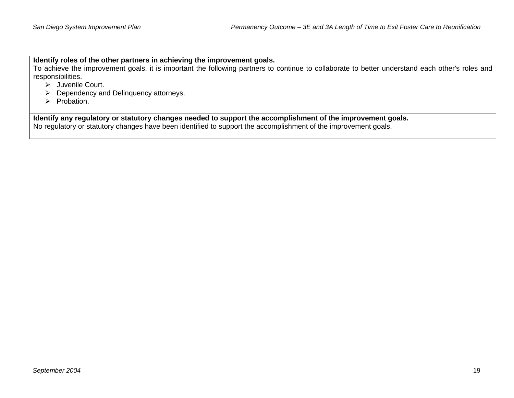**Identify roles of the other partners in achieving the improvement goals.** 

To achieve the improvement goals, it is important the following partners to continue to collaborate to better understand each other's roles and responsibilities.

- $\triangleright$  Juvenile Court.
- $\triangleright$  Dependency and Delinguency attorneys.
- $\triangleright$  Probation.

**Identify any regulatory or statutory changes needed to support the accomplishment of the improvement goals.**  No regulatory or statutory changes have been identified to support the accomplishment of the improvement goals.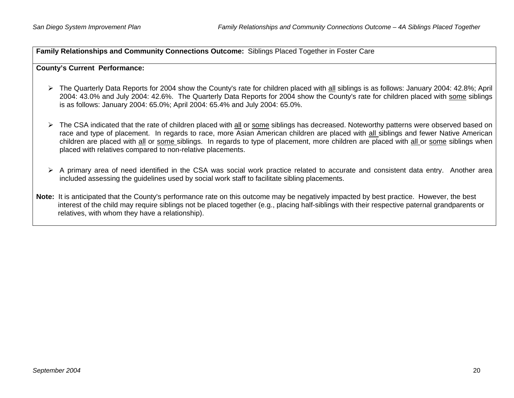**Family Relationships and Community Connections Outcome:** Siblings Placed Together in Foster Care

#### **County's Current Performance:**

- ¾ The Quarterly Data Reports for 2004 show the County's rate for children placed with all siblings is as follows: January 2004: 42.8%; April 2004: 43.0% and July 2004: 42.6%. The Quarterly Data Reports for 2004 show the County's rate for children placed with some siblings is as follows: January 2004: 65.0%; April 2004: 65.4% and July 2004: 65.0%.
- ¾ The CSA indicated that the rate of children placed with all or some siblings has decreased. Noteworthy patterns were observed based on race and type of placement. In regards to race, more Asian American children are placed with all siblings and fewer Native American children are placed with all or some siblings. In regards to type of placement, more children are placed with all or some siblings when placed with relatives compared to non-relative placements.
- ¾ A primary area of need identified in the CSA was social work practice related to accurate and consistent data entry. Another area included assessing the guidelines used by social work staff to facilitate sibling placements.
- **Note:** It is anticipated that the County's performance rate on this outcome may be negatively impacted by best practice. However, the best interest of the child may require siblings not be placed together (e.g., placing half-siblings with their respective paternal grandparents or relatives, with whom they have a relationship).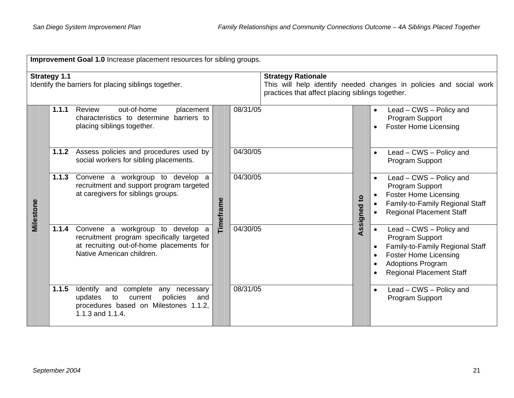|                                                                             | Improvement Goal 1.0 Increase placement resources for sibling groups. |                                                                                                                                                            |           |                                                                               |  |                                                                    |                                                                                                                                                                                           |  |  |
|-----------------------------------------------------------------------------|-----------------------------------------------------------------------|------------------------------------------------------------------------------------------------------------------------------------------------------------|-----------|-------------------------------------------------------------------------------|--|--------------------------------------------------------------------|-------------------------------------------------------------------------------------------------------------------------------------------------------------------------------------------|--|--|
| <b>Strategy 1.1</b><br>Identify the barriers for placing siblings together. |                                                                       |                                                                                                                                                            |           | <b>Strategy Rationale</b><br>practices that affect placing siblings together. |  | This will help identify needed changes in policies and social work |                                                                                                                                                                                           |  |  |
|                                                                             | 1.1.1                                                                 | out-of-home<br>Review<br>placement<br>characteristics to determine barriers to<br>placing siblings together.                                               |           | 08/31/05                                                                      |  |                                                                    | Lead - CWS - Policy and<br>$\bullet$<br>Program Support<br><b>Foster Home Licensing</b>                                                                                                   |  |  |
|                                                                             |                                                                       | 1.1.2 Assess policies and procedures used by<br>social workers for sibling placements.                                                                     |           | 04/30/05                                                                      |  |                                                                    | Lead - CWS - Policy and<br>Program Support                                                                                                                                                |  |  |
| Milestone                                                                   | 1.1.3                                                                 | Convene a workgroup to develop a<br>recruitment and support program targeted<br>at caregivers for siblings groups.                                         | Timeframe | 04/30/05                                                                      |  | $\mathbf{c}$<br>Assigned                                           | Lead - CWS - Policy and<br>$\bullet$<br>Program Support<br><b>Foster Home Licensing</b><br>Family-to-Family Regional Staff<br><b>Regional Placement Staff</b>                             |  |  |
|                                                                             | 1.1.4                                                                 | Convene a workgroup to develop a<br>recruitment program specifically targeted<br>at recruiting out-of-home placements for<br>Native American children.     |           | 04/30/05                                                                      |  |                                                                    | Lead - CWS - Policy and<br>$\bullet$<br>Program Support<br>Family-to-Family Regional Staff<br><b>Foster Home Licensing</b><br><b>Adoptions Program</b><br><b>Regional Placement Staff</b> |  |  |
|                                                                             | 1.1.5                                                                 | Identify and complete any necessary<br>$\mathsf{to}$<br>updates<br>current<br>policies<br>and<br>procedures based on Milestones 1.1.2,<br>1.1.3 and 1.1.4. |           | 08/31/05                                                                      |  |                                                                    | Lead - CWS - Policy and<br>Program Support                                                                                                                                                |  |  |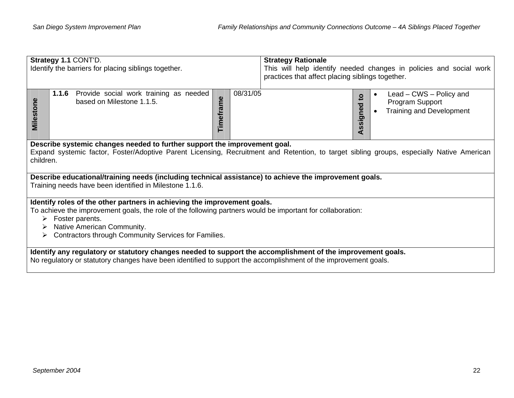|                                                                                                                                                                                                                                                                                                      | Strategy 1.1 CONT'D.<br>Identify the barriers for placing siblings together.                                                                                                                                                   | <b>Strategy Rationale</b><br>This will help identify needed changes in policies and social work<br>practices that affect placing siblings together. |                                                                                                               |  |  |  |  |  |
|------------------------------------------------------------------------------------------------------------------------------------------------------------------------------------------------------------------------------------------------------------------------------------------------------|--------------------------------------------------------------------------------------------------------------------------------------------------------------------------------------------------------------------------------|-----------------------------------------------------------------------------------------------------------------------------------------------------|---------------------------------------------------------------------------------------------------------------|--|--|--|--|--|
| Milestone                                                                                                                                                                                                                                                                                            | Provide social work training as needed<br>1.1.6<br>Timeframe<br>based on Milestone 1.1.5.                                                                                                                                      | 08/31/05                                                                                                                                            | Lead - CWS - Policy and<br>$\mathbf{5}$<br>Program Support<br>ssigned<br><b>Training and Development</b><br>⋖ |  |  |  |  |  |
| Describe systemic changes needed to further support the improvement goal.<br>Expand systemic factor, Foster/Adoptive Parent Licensing, Recruitment and Retention, to target sibling groups, especially Native American<br>children.                                                                  |                                                                                                                                                                                                                                |                                                                                                                                                     |                                                                                                               |  |  |  |  |  |
|                                                                                                                                                                                                                                                                                                      | Describe educational/training needs (including technical assistance) to achieve the improvement goals.<br>Training needs have been identified in Milestone 1.1.6.                                                              |                                                                                                                                                     |                                                                                                               |  |  |  |  |  |
| Identify roles of the other partners in achieving the improvement goals.<br>To achieve the improvement goals, the role of the following partners would be important for collaboration:<br>Foster parents.<br>➤<br>Native American Community.<br>Contractors through Community Services for Families. |                                                                                                                                                                                                                                |                                                                                                                                                     |                                                                                                               |  |  |  |  |  |
|                                                                                                                                                                                                                                                                                                      | Identify any regulatory or statutory changes needed to support the accomplishment of the improvement goals.<br>No regulatory or statutory changes have been identified to support the accomplishment of the improvement goals. |                                                                                                                                                     |                                                                                                               |  |  |  |  |  |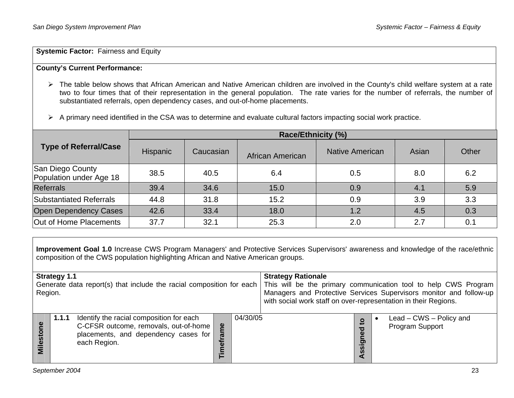**Systemic Factor: Fairness and Equity** 

### **County's Current Performance:**

- ¾ The table below shows that African American and Native American children are involved in the County's child welfare system at a rate two to four times that of their representation in the general population. The rate varies for the number of referrals, the number of substantiated referrals, open dependency cases, and out-of-home placements.
- ¾ A primary need identified in the CSA was to determine and evaluate cultural factors impacting social work practice.

|                                             |                 |           | <b>Race/Ethnicity (%)</b> |                        |       |       |
|---------------------------------------------|-----------------|-----------|---------------------------|------------------------|-------|-------|
| <b>Type of Referral/Case</b>                | <b>Hispanic</b> | Caucasian | African American          | <b>Native American</b> | Asian | Other |
| San Diego County<br>Population under Age 18 | 38.5            | 40.5      | 6.4                       | 0.5                    | 8.0   | 6.2   |
| <b>Referrals</b>                            | 39.4            | 34.6      | 15.0                      | 0.9                    | 4.1   | 5.9   |
| Substantiated Referrals                     | 44.8            | 31.8      | 15.2                      | 0.9                    | 3.9   | 3.3   |
| <b>Open Dependency Cases</b>                | 42.6            | 33.4      | 18.0                      | 1.2                    | 4.5   | 0.3   |
| Out of Home Placements                      | 37.7            | 32.1      | 25.3                      | 2.0                    | 2.7   | 0.1   |

**Improvement Goal 1.0** Increase CWS Program Managers' and Protective Services Supervisors' awareness and knowledge of the race/ethnic composition of the CWS population highlighting African and Native American groups.

| <b>Strategy 1.1</b><br>Generate data report(s) that include the racial composition for each<br>Region. |       |                                                                                                                                           |                 | <b>Strategy Rationale</b><br>with social work staff on over-representation in their Regions. |  | This will be the primary communication tool to help CWS Program<br>Managers and Protective Services Supervisors monitor and follow-up |                                            |
|--------------------------------------------------------------------------------------------------------|-------|-------------------------------------------------------------------------------------------------------------------------------------------|-----------------|----------------------------------------------------------------------------------------------|--|---------------------------------------------------------------------------------------------------------------------------------------|--------------------------------------------|
| ၔႍ<br><b>Milesto</b>                                                                                   | 1.1.1 | Identify the racial composition for each<br>C-CFSR outcome, removals, out-of-home<br>placements, and dependency cases for<br>each Region. | e۹<br><u>로.</u> | 04/30/05                                                                                     |  | $\mathbf{S}$<br>ਹ<br>Φ<br>ත<br><b>S</b><br><b>S</b>                                                                                   | Lead – CWS – Policy and<br>Program Support |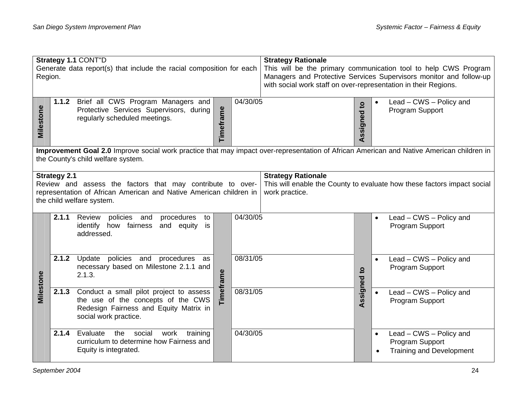| Strategy 1.1 CONT"D<br>Generate data report(s) that include the racial composition for each<br>Region. |                                                                                                                                                                                 |                                                                                                                                                               | <b>Strategy Rationale</b><br>This will be the primary communication tool to help CWS Program<br>Managers and Protective Services Supervisors monitor and follow-up<br>with social work staff on over-representation in their Regions. |          |                                             |             |           |                                                                               |
|--------------------------------------------------------------------------------------------------------|---------------------------------------------------------------------------------------------------------------------------------------------------------------------------------|---------------------------------------------------------------------------------------------------------------------------------------------------------------|---------------------------------------------------------------------------------------------------------------------------------------------------------------------------------------------------------------------------------------|----------|---------------------------------------------|-------------|-----------|-------------------------------------------------------------------------------|
| Milestone                                                                                              |                                                                                                                                                                                 | 1.1.2 Brief all CWS Program Managers and<br>Protective Services Supervisors, during<br>regularly scheduled meetings.                                          | Timeframe                                                                                                                                                                                                                             | 04/30/05 |                                             | Assigned to |           | Lead - CWS - Policy and<br>Program Support                                    |
|                                                                                                        | Improvement Goal 2.0 Improve social work practice that may impact over-representation of African American and Native American children in<br>the County's child welfare system. |                                                                                                                                                               |                                                                                                                                                                                                                                       |          |                                             |             |           |                                                                               |
|                                                                                                        | <b>Strategy 2.1</b>                                                                                                                                                             | Review and assess the factors that may contribute to over-<br>representation of African American and Native American children in<br>the child welfare system. |                                                                                                                                                                                                                                       |          | <b>Strategy Rationale</b><br>work practice. |             |           | This will enable the County to evaluate how these factors impact social       |
|                                                                                                        | 2.1.1                                                                                                                                                                           | policies and<br>Review<br>procedures<br>to<br>identify how fairness<br>and equity<br>is<br>addressed.                                                         |                                                                                                                                                                                                                                       | 04/30/05 |                                             |             | $\bullet$ | Lead - CWS - Policy and<br>Program Support                                    |
|                                                                                                        | 2.1.2                                                                                                                                                                           | Update policies and procedures as<br>necessary based on Milestone 2.1.1 and<br>2.1.3.                                                                         |                                                                                                                                                                                                                                       | 08/31/05 | Assigned to                                 |             | $\bullet$ | Lead - CWS - Policy and<br>Program Support                                    |
| Milestone                                                                                              | 2.1.3                                                                                                                                                                           | Conduct a small pilot project to assess<br>the use of the concepts of the CWS<br>Redesign Fairness and Equity Matrix in<br>social work practice.              | Timeframe                                                                                                                                                                                                                             |          | 08/31/05                                    |             |           | Lead - CWS - Policy and<br>Program Support                                    |
|                                                                                                        | 2.1.4                                                                                                                                                                           | social<br>Evaluate<br>the<br>work<br>training<br>curriculum to determine how Fairness and<br>Equity is integrated.                                            |                                                                                                                                                                                                                                       |          | 04/30/05                                    |             | $\bullet$ | Lead - CWS - Policy and<br>Program Support<br><b>Training and Development</b> |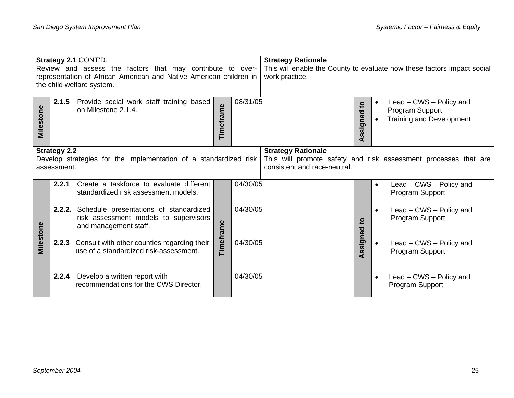| Strategy 2.1 CONT'D.<br>Review and assess the factors that may contribute to over-<br>representation of African American and Native American children in<br>the child welfare system. |                                    |                                                                                                                 | <b>Strategy Rationale</b><br>This will enable the County to evaluate how these factors impact social<br>work practice. |          |                                                           |                                  |                        |                                                                               |
|---------------------------------------------------------------------------------------------------------------------------------------------------------------------------------------|------------------------------------|-----------------------------------------------------------------------------------------------------------------|------------------------------------------------------------------------------------------------------------------------|----------|-----------------------------------------------------------|----------------------------------|------------------------|-------------------------------------------------------------------------------|
| Milestone                                                                                                                                                                             | 2.1.5                              | Provide social work staff training based<br>on Milestone 2.1.4.                                                 | Timeframe                                                                                                              | 08/31/05 |                                                           | signed to<br>$\ddot{\mathbf{z}}$ | $\bullet$<br>$\bullet$ | Lead – CWS – Policy and<br>Program Support<br><b>Training and Development</b> |
|                                                                                                                                                                                       | <b>Strategy 2.2</b><br>assessment. | Develop strategies for the implementation of a standardized risk                                                |                                                                                                                        |          | <b>Strategy Rationale</b><br>consistent and race-neutral. |                                  |                        | This will promote safety and risk assessment processes that are               |
|                                                                                                                                                                                       | 2.2.1                              | Create a taskforce to evaluate different<br>standardized risk assessment models.                                |                                                                                                                        | 04/30/05 |                                                           |                                  | $\bullet$              | Lead - CWS - Policy and<br>Program Support                                    |
| Milestone                                                                                                                                                                             |                                    | 2.2.2. Schedule presentations of standardized<br>risk assessment models to supervisors<br>and management staff. | Timeframe                                                                                                              |          | 04/30/05                                                  |                                  | $\bullet$              | Lead - CWS - Policy and<br>Program Support                                    |
|                                                                                                                                                                                       | 2.2.3                              | Consult with other counties regarding their<br>use of a standardized risk-assessment.                           |                                                                                                                        | 04/30/05 |                                                           | ssigned                          | $\bullet$              | Lead - CWS - Policy and<br>Program Support                                    |
|                                                                                                                                                                                       | 2.2.4                              | Develop a written report with<br>recommendations for the CWS Director.                                          |                                                                                                                        | 04/30/05 |                                                           |                                  | $\bullet$              | Lead – CWS – Policy and<br>Program Support                                    |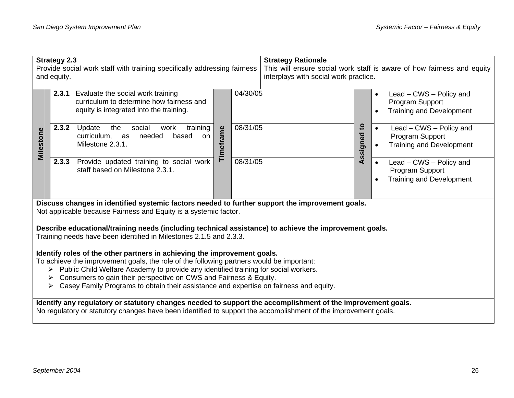| <b>Strategy 2.3</b><br>Provide social work staff with training specifically addressing fairness<br>and equity.                                                                                                                                                                                                                                                                                                                  |                                                                                                                                                                                                                                |           |          | <b>Strategy Rationale</b><br>This will ensure social work staff is aware of how fairness and equity<br>interplays with social work practice. |                      |                                                                                                         |  |
|---------------------------------------------------------------------------------------------------------------------------------------------------------------------------------------------------------------------------------------------------------------------------------------------------------------------------------------------------------------------------------------------------------------------------------|--------------------------------------------------------------------------------------------------------------------------------------------------------------------------------------------------------------------------------|-----------|----------|----------------------------------------------------------------------------------------------------------------------------------------------|----------------------|---------------------------------------------------------------------------------------------------------|--|
|                                                                                                                                                                                                                                                                                                                                                                                                                                 | 2.3.1 Evaluate the social work training<br>curriculum to determine how fairness and<br>equity is integrated into the training.                                                                                                 |           | 04/30/05 |                                                                                                                                              |                      | Lead - CWS - Policy and<br>$\bullet$<br>Program Support<br><b>Training and Development</b>              |  |
| Milestone                                                                                                                                                                                                                                                                                                                                                                                                                       | 2.3.2<br>Update<br>social<br>training<br>the<br>work<br>needed<br>curriculum, as<br>based<br>on<br>Milestone 2.3.1.                                                                                                            | Timeframe | 08/31/05 |                                                                                                                                              | <u>ي</u><br>Assigned | Lead – CWS – Policy and<br>$\bullet$<br>Program Support<br><b>Training and Development</b>              |  |
|                                                                                                                                                                                                                                                                                                                                                                                                                                 | Provide updated training to social work<br>2.3.3<br>staff based on Milestone 2.3.1.                                                                                                                                            | 08/31/05  |          |                                                                                                                                              |                      | Lead – CWS – Policy and<br>$\bullet$<br>Program Support<br><b>Training and Development</b><br>$\bullet$ |  |
|                                                                                                                                                                                                                                                                                                                                                                                                                                 | Discuss changes in identified systemic factors needed to further support the improvement goals.<br>Not applicable because Fairness and Equity is a systemic factor.                                                            |           |          |                                                                                                                                              |                      |                                                                                                         |  |
|                                                                                                                                                                                                                                                                                                                                                                                                                                 | Describe educational/training needs (including technical assistance) to achieve the improvement goals.<br>Training needs have been identified in Milestones 2.1.5 and 2.3.3.                                                   |           |          |                                                                                                                                              |                      |                                                                                                         |  |
| Identify roles of the other partners in achieving the improvement goals.<br>To achieve the improvement goals, the role of the following partners would be important:<br>Public Child Welfare Academy to provide any identified training for social workers.<br>Consumers to gain their perspective on CWS and Fairness & Equity.<br>➤<br>Casey Family Programs to obtain their assistance and expertise on fairness and equity. |                                                                                                                                                                                                                                |           |          |                                                                                                                                              |                      |                                                                                                         |  |
|                                                                                                                                                                                                                                                                                                                                                                                                                                 | Identify any regulatory or statutory changes needed to support the accomplishment of the improvement goals.<br>No regulatory or statutory changes have been identified to support the accomplishment of the improvement goals. |           |          |                                                                                                                                              |                      |                                                                                                         |  |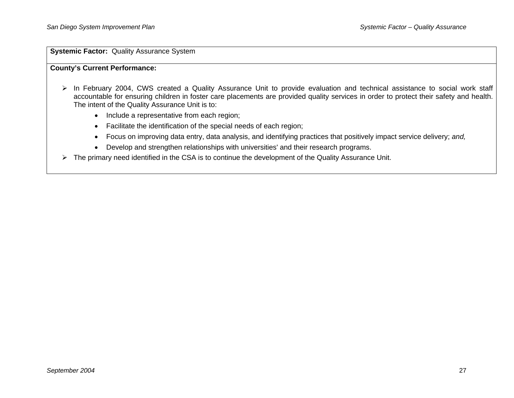**Systemic Factor: Quality Assurance System** 

### **County's Current Performance:**

- ¾ In February 2004, CWS created a Quality Assurance Unit to provide evaluation and technical assistance to social work staff accountable for ensuring children in foster care placements are provided quality services in order to protect their safety and health. The intent of the Quality Assurance Unit is to:
	- Include a representative from each region;
	- Facilitate the identification of the special needs of each region;
	- Focus on improving data entry, data analysis, and identifying practices that positively impact service delivery; *and,*
	- Develop and strengthen relationships with universities' and their research programs.
- $\triangleright$  The primary need identified in the CSA is to continue the development of the Quality Assurance Unit.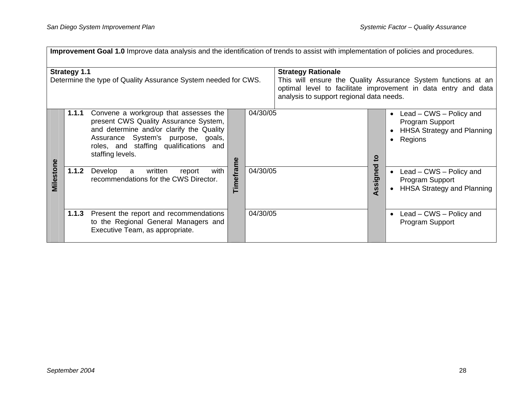|                                                                                       | Improvement Goal 1.0 Improve data analysis and the identification of trends to assist with implementation of policies and procedures. |                                                                                                                                                                                                                                |           |                                                                                                                                                                                                          |  |          |                                                                                                           |  |
|---------------------------------------------------------------------------------------|---------------------------------------------------------------------------------------------------------------------------------------|--------------------------------------------------------------------------------------------------------------------------------------------------------------------------------------------------------------------------------|-----------|----------------------------------------------------------------------------------------------------------------------------------------------------------------------------------------------------------|--|----------|-----------------------------------------------------------------------------------------------------------|--|
| <b>Strategy 1.1</b><br>Determine the type of Quality Assurance System needed for CWS. |                                                                                                                                       |                                                                                                                                                                                                                                |           | <b>Strategy Rationale</b><br>This will ensure the Quality Assurance System functions at an<br>optimal level to facilitate improvement in data entry and data<br>analysis to support regional data needs. |  |          |                                                                                                           |  |
|                                                                                       | 1.1.1                                                                                                                                 | Convene a workgroup that assesses the<br>present CWS Quality Assurance System,<br>and determine and/or clarify the Quality<br>Assurance System's purpose, goals,<br>roles, and staffing qualifications and<br>staffing levels. |           | 04/30/05                                                                                                                                                                                                 |  | ខ្       | • Lead – CWS – Policy and<br>Program Support<br><b>HHSA Strategy and Planning</b><br>Regions<br>$\bullet$ |  |
| Milestone                                                                             | 1.1.2                                                                                                                                 | with<br>written<br>Develop<br>a<br>report<br>recommendations for the CWS Director.                                                                                                                                             | Timeframe | 04/30/05                                                                                                                                                                                                 |  | Assigned | • Lead – CWS – Policy and<br>Program Support<br><b>HHSA Strategy and Planning</b>                         |  |
|                                                                                       | 1.1.3                                                                                                                                 | Present the report and recommendations<br>to the Regional General Managers and<br>Executive Team, as appropriate.                                                                                                              |           | 04/30/05                                                                                                                                                                                                 |  |          | Lead – CWS – Policy and<br>Program Support                                                                |  |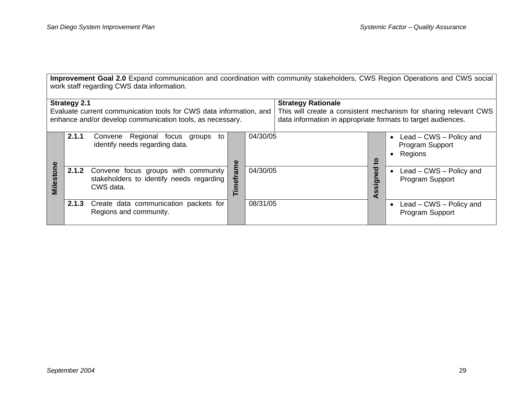**Improvement Goal 2.0** Expand communication and coordination with community stakeholders, CWS Region Operations and CWS social work staff regarding CWS data information.

| <b>Strategy 2.1</b><br>Evaluate current communication tools for CWS data information, and<br>enhance and/or develop communication tools, as necessary. |       |                                                                                                    |        |          | <b>Strategy Rationale</b><br>data information in appropriate formats to target audiences. |                         | This will create a consistent mechanism for sharing relevant CWS       |
|--------------------------------------------------------------------------------------------------------------------------------------------------------|-------|----------------------------------------------------------------------------------------------------|--------|----------|-------------------------------------------------------------------------------------------|-------------------------|------------------------------------------------------------------------|
|                                                                                                                                                        | 2.1.1 | Regional focus groups to<br>Convene<br>identify needs regarding data.                              | Φ      | 04/30/05 |                                                                                           | $\overline{\mathbf{c}}$ | Lead $-$ CWS $-$ Policy and<br>Program Support<br>Regions<br>$\bullet$ |
| Milestone                                                                                                                                              |       | 2.1.2 Convene focus groups with community<br>stakeholders to identify needs regarding<br>CWS data. | Ξ<br>둡 | 04/30/05 |                                                                                           | Assigned                | Lead – CWS – Policy and<br>Program Support                             |
|                                                                                                                                                        | 2.1.3 | Create data communication packets for<br>Regions and community.                                    |        | 08/31/05 |                                                                                           |                         | Lead - CWS - Policy and<br>Program Support                             |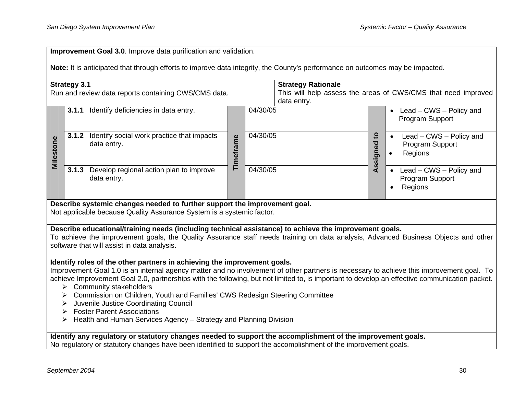| <b>Improvement Goal 3.0.</b> Improve data purification and validation. |  |
|------------------------------------------------------------------------|--|
|------------------------------------------------------------------------|--|

**Note:** It is anticipated that through efforts to improve data integrity, the County's performance on outcomes may be impacted.

|                                                                                                                                                                                                                                                                                                                                                                                                                                                                                                                                                                                                                                                       | <b>Strategy 3.1</b><br>Run and review data reports containing CWS/CMS data. | <b>Strategy Rationale</b><br>data entry. | This will help assess the areas of CWS/CMS that need improved |             |                                                                    |
|-------------------------------------------------------------------------------------------------------------------------------------------------------------------------------------------------------------------------------------------------------------------------------------------------------------------------------------------------------------------------------------------------------------------------------------------------------------------------------------------------------------------------------------------------------------------------------------------------------------------------------------------------------|-----------------------------------------------------------------------------|------------------------------------------|---------------------------------------------------------------|-------------|--------------------------------------------------------------------|
| Milestone                                                                                                                                                                                                                                                                                                                                                                                                                                                                                                                                                                                                                                             | 3.1.1 Identify deficiencies in data entry.                                  | Timeframe                                | 04/30/05                                                      |             | Lead – CWS – Policy and<br>$\bullet$<br>Program Support            |
|                                                                                                                                                                                                                                                                                                                                                                                                                                                                                                                                                                                                                                                       | <b>3.1.2</b> Identify social work practice that impacts<br>data entry.      |                                          | 04/30/05                                                      | Assigned to | Lead - CWS - Policy and<br>Program Support<br>Regions              |
|                                                                                                                                                                                                                                                                                                                                                                                                                                                                                                                                                                                                                                                       | Develop regional action plan to improve<br>3.1.3<br>data entry.             |                                          | 04/30/05                                                      |             | Lead - CWS - Policy and<br>Program Support<br>Regions<br>$\bullet$ |
| Describe systemic changes needed to further support the improvement goal.<br>Not applicable because Quality Assurance System is a systemic factor.                                                                                                                                                                                                                                                                                                                                                                                                                                                                                                    |                                                                             |                                          |                                                               |             |                                                                    |
| Describe educational/training needs (including technical assistance) to achieve the improvement goals.<br>To achieve the improvement goals, the Quality Assurance staff needs training on data analysis, Advanced Business Objects and other<br>software that will assist in data analysis.                                                                                                                                                                                                                                                                                                                                                           |                                                                             |                                          |                                                               |             |                                                                    |
| Identify roles of the other partners in achieving the improvement goals.<br>Improvement Goal 1.0 is an internal agency matter and no involvement of other partners is necessary to achieve this improvement goal. To<br>achieve Improvement Goal 2.0, partnerships with the following, but not limited to, is important to develop an effective communication packet.<br>Community stakeholders<br>➤<br>Commission on Children, Youth and Families' CWS Redesign Steering Committee<br>➤<br>Juvenile Justice Coordinating Council<br>➤<br><b>Foster Parent Associations</b><br>➤<br>Health and Human Services Agency - Strategy and Planning Division |                                                                             |                                          |                                                               |             |                                                                    |
| Identify any regulatory or statutory changes needed to support the accomplishment of the improvement goals.<br>No regulatory or statutory changes have been identified to support the accomplishment of the improvement goals.                                                                                                                                                                                                                                                                                                                                                                                                                        |                                                                             |                                          |                                                               |             |                                                                    |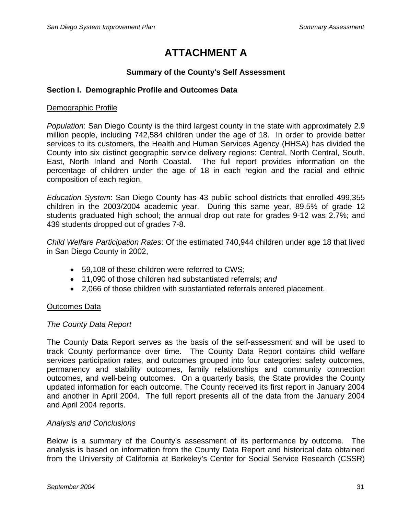# **ATTACHMENT A**

### **Summary of the County's Self Assessment**

### **Section I. Demographic Profile and Outcomes Data**

### Demographic Profile

*Population*: San Diego County is the third largest county in the state with approximately 2.9 million people, including 742,584 children under the age of 18. In order to provide better services to its customers, the Health and Human Services Agency (HHSA) has divided the County into six distinct geographic service delivery regions: Central, North Central, South, East, North Inland and North Coastal. The full report provides information on the percentage of children under the age of 18 in each region and the racial and ethnic composition of each region.

*Education System*: San Diego County has 43 public school districts that enrolled 499,355 children in the 2003/2004 academic year. During this same year, 89.5% of grade 12 students graduated high school; the annual drop out rate for grades 9-12 was 2.7%; and 439 students dropped out of grades 7-8.

*Child Welfare Participation Rates*: Of the estimated 740,944 children under age 18 that lived in San Diego County in 2002,

- 59,108 of these children were referred to CWS;
- 11,090 of those children had substantiated referrals; *and*
- 2,066 of those children with substantiated referrals entered placement.

### Outcomes Data

### *The County Data Report*

The County Data Report serves as the basis of the self-assessment and will be used to track County performance over time. The County Data Report contains child welfare services participation rates, and outcomes grouped into four categories: safety outcomes, permanency and stability outcomes, family relationships and community connection outcomes, and well-being outcomes. On a quarterly basis, the State provides the County updated information for each outcome. The County received its first report in January 2004 and another in April 2004. The full report presents all of the data from the January 2004 and April 2004 reports.

### *Analysis and Conclusions*

Below is a summary of the County's assessment of its performance by outcome. The analysis is based on information from the County Data Report and historical data obtained from the University of California at Berkeley's Center for Social Service Research (CSSR)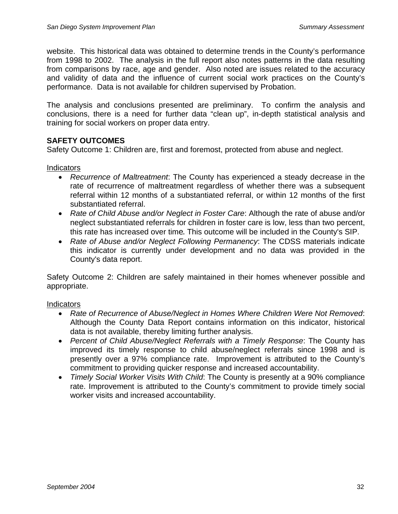website. This historical data was obtained to determine trends in the County's performance from 1998 to 2002. The analysis in the full report also notes patterns in the data resulting from comparisons by race, age and gender. Also noted are issues related to the accuracy and validity of data and the influence of current social work practices on the County's performance. Data is not available for children supervised by Probation.

The analysis and conclusions presented are preliminary. To confirm the analysis and conclusions, there is a need for further data "clean up", in-depth statistical analysis and training for social workers on proper data entry.

### **SAFETY OUTCOMES**

Safety Outcome 1: Children are, first and foremost, protected from abuse and neglect.

### Indicators

- *Recurrence of Maltreatment*: The County has experienced a steady decrease in the rate of recurrence of maltreatment regardless of whether there was a subsequent referral within 12 months of a substantiated referral, or within 12 months of the first substantiated referral.
- *Rate of Child Abuse and/or Neglect in Foster Care*: Although the rate of abuse and/or neglect substantiated referrals for children in foster care is low, less than two percent, this rate has increased over time. This outcome will be included in the County's SIP.
- *Rate of Abuse and/or Neglect Following Permanency*: The CDSS materials indicate this indicator is currently under development and no data was provided in the County's data report.

Safety Outcome 2: Children are safely maintained in their homes whenever possible and appropriate.

### **Indicators**

- *Rate of Recurrence of Abuse/Neglect in Homes Where Children Were Not Removed*: Although the County Data Report contains information on this indicator, historical data is not available, thereby limiting further analysis.
- *Percent of Child Abuse/Neglect Referrals with a Timely Response*: The County has improved its timely response to child abuse/neglect referrals since 1998 and is presently over a 97% compliance rate. Improvement is attributed to the County's commitment to providing quicker response and increased accountability.
- *Timely Social Worker Visits With Child*: The County is presently at a 90% compliance rate. Improvement is attributed to the County's commitment to provide timely social worker visits and increased accountability.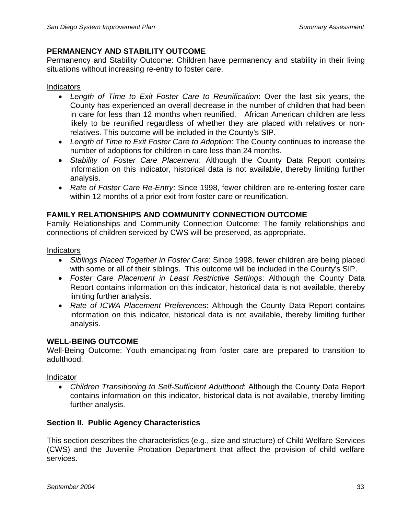### **PERMANENCY AND STABILITY OUTCOME**

Permanency and Stability Outcome: Children have permanency and stability in their living situations without increasing re-entry to foster care.

### **Indicators**

- *Length of Time to Exit Foster Care to Reunification*: Over the last six years, the County has experienced an overall decrease in the number of children that had been in care for less than 12 months when reunified. African American children are less likely to be reunified regardless of whether they are placed with relatives or nonrelatives. This outcome will be included in the County's SIP.
- *Length of Time to Exit Foster Care to Adoption*: The County continues to increase the number of adoptions for children in care less than 24 months.
- *Stability of Foster Care Placement*: Although the County Data Report contains information on this indicator, historical data is not available, thereby limiting further analysis.
- *Rate of Foster Care Re-Entry*: Since 1998, fewer children are re-entering foster care within 12 months of a prior exit from foster care or reunification.

### **FAMILY RELATIONSHIPS AND COMMUNITY CONNECTION OUTCOME**

Family Relationships and Community Connection Outcome: The family relationships and connections of children serviced by CWS will be preserved, as appropriate.

### **Indicators**

- *Siblings Placed Together in Foster Care*: Since 1998, fewer children are being placed with some or all of their siblings. This outcome will be included in the County's SIP.
- *Foster Care Placement in Least Restrictive Settings*: Although the County Data Report contains information on this indicator, historical data is not available, thereby limiting further analysis.
- *Rate of ICWA Placement Preferences*: Although the County Data Report contains information on this indicator, historical data is not available, thereby limiting further analysis.

### **WELL-BEING OUTCOME**

Well-Being Outcome: Youth emancipating from foster care are prepared to transition to adulthood.

### Indicator

• *Children Transitioning to Self-Sufficient Adulthood*: Although the County Data Report contains information on this indicator, historical data is not available, thereby limiting further analysis.

### **Section II. Public Agency Characteristics**

This section describes the characteristics (e.g., size and structure) of Child Welfare Services (CWS) and the Juvenile Probation Department that affect the provision of child welfare services.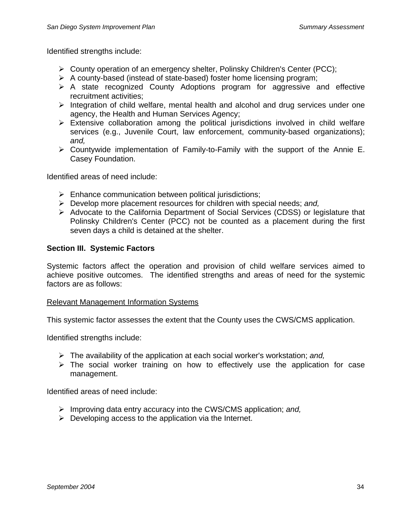Identified strengths include:

- ¾ County operation of an emergency shelter, Polinsky Children's Center (PCC);
- $\triangleright$  A county-based (instead of state-based) foster home licensing program;
- ¾ A state recognized County Adoptions program for aggressive and effective recruitment activities;
- $\triangleright$  Integration of child welfare, mental health and alcohol and drug services under one agency, the Health and Human Services Agency;
- $\triangleright$  Extensive collaboration among the political jurisdictions involved in child welfare services (e.g., Juvenile Court, law enforcement, community-based organizations): *and,*
- $\triangleright$  Countywide implementation of Family-to-Family with the support of the Annie E. Casey Foundation.

Identified areas of need include:

- $\triangleright$  Enhance communication between political jurisdictions;
- ¾ Develop more placement resources for children with special needs; *and,*
- ¾ Advocate to the California Department of Social Services (CDSS) or legislature that Polinsky Children's Center (PCC) not be counted as a placement during the first seven days a child is detained at the shelter.

### **Section III. Systemic Factors**

Systemic factors affect the operation and provision of child welfare services aimed to achieve positive outcomes. The identified strengths and areas of need for the systemic factors are as follows:

### Relevant Management Information Systems

This systemic factor assesses the extent that the County uses the CWS/CMS application.

Identified strengths include:

- ¾ The availability of the application at each social worker's workstation; *and,*
- $\triangleright$  The social worker training on how to effectively use the application for case management.

Identified areas of need include:

- ¾ Improving data entry accuracy into the CWS/CMS application; *and,*
- $\triangleright$  Developing access to the application via the Internet.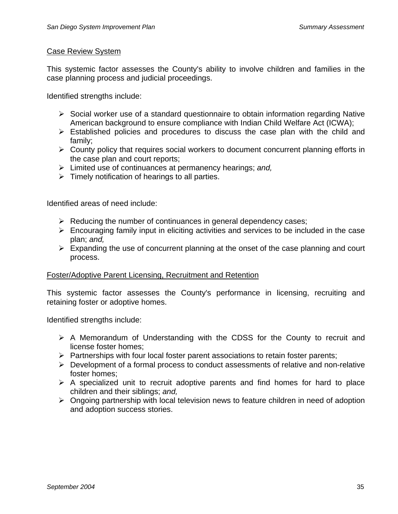### Case Review System

This systemic factor assesses the County's ability to involve children and families in the case planning process and judicial proceedings.

Identified strengths include:

- $\triangleright$  Social worker use of a standard questionnaire to obtain information regarding Native American background to ensure compliance with Indian Child Welfare Act (ICWA);
- $\triangleright$  Established policies and procedures to discuss the case plan with the child and family;
- $\triangleright$  County policy that requires social workers to document concurrent planning efforts in the case plan and court reports;
- ¾ Limited use of continuances at permanency hearings; *and,*
- $\triangleright$  Timely notification of hearings to all parties.

Identified areas of need include:

- $\triangleright$  Reducing the number of continuances in general dependency cases;
- $\triangleright$  Encouraging family input in eliciting activities and services to be included in the case plan; *and,*
- $\triangleright$  Expanding the use of concurrent planning at the onset of the case planning and court process.

### Foster/Adoptive Parent Licensing, Recruitment and Retention

This systemic factor assesses the County's performance in licensing, recruiting and retaining foster or adoptive homes.

Identified strengths include:

- $\triangleright$  A Memorandum of Understanding with the CDSS for the County to recruit and license foster homes;
- $\triangleright$  Partnerships with four local foster parent associations to retain foster parents;
- $\triangleright$  Development of a formal process to conduct assessments of relative and non-relative foster homes;
- $\triangleright$  A specialized unit to recruit adoptive parents and find homes for hard to place children and their siblings; *and,*
- $\triangleright$  Ongoing partnership with local television news to feature children in need of adoption and adoption success stories.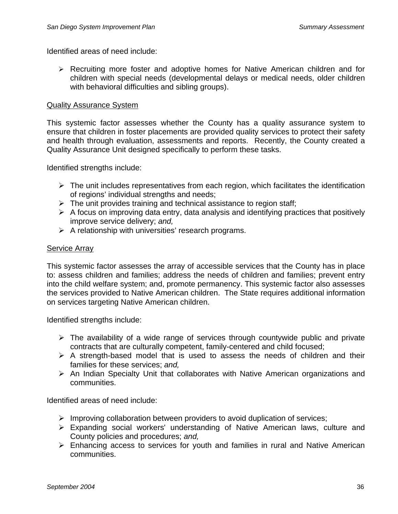Identified areas of need include:

¾ Recruiting more foster and adoptive homes for Native American children and for children with special needs (developmental delays or medical needs, older children with behavioral difficulties and sibling groups).

### Quality Assurance System

This systemic factor assesses whether the County has a quality assurance system to ensure that children in foster placements are provided quality services to protect their safety and health through evaluation, assessments and reports. Recently, the County created a Quality Assurance Unit designed specifically to perform these tasks.

Identified strengths include:

- $\triangleright$  The unit includes representatives from each region, which facilitates the identification of regions' individual strengths and needs;
- $\triangleright$  The unit provides training and technical assistance to region staff;
- $\triangleright$  A focus on improving data entry, data analysis and identifying practices that positively improve service delivery; *and,*
- $\triangleright$  A relationship with universities' research programs.

### Service Array

This systemic factor assesses the array of accessible services that the County has in place to: assess children and families; address the needs of children and families; prevent entry into the child welfare system; and, promote permanency. This systemic factor also assesses the services provided to Native American children. The State requires additional information on services targeting Native American children.

Identified strengths include:

- $\triangleright$  The availability of a wide range of services through countywide public and private contracts that are culturally competent, family-centered and child focused;
- $\triangleright$  A strength-based model that is used to assess the needs of children and their families for these services; *and,*
- $\triangleright$  An Indian Specialty Unit that collaborates with Native American organizations and communities.

Identified areas of need include:

- $\triangleright$  Improving collaboration between providers to avoid duplication of services;
- ¾ Expanding social workers' understanding of Native American laws, culture and County policies and procedures; *and,*
- $\triangleright$  Enhancing access to services for youth and families in rural and Native American communities.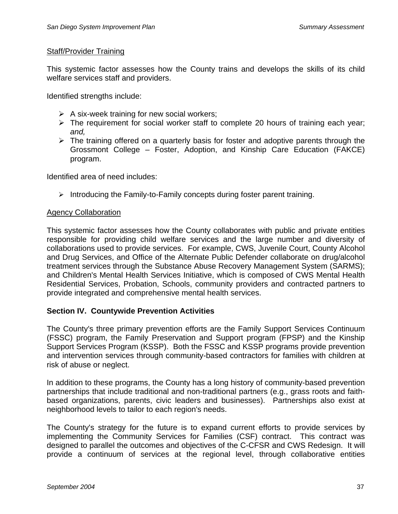### Staff/Provider Training

This systemic factor assesses how the County trains and develops the skills of its child welfare services staff and providers.

Identified strengths include:

- $\triangleright$  A six-week training for new social workers;
- $\triangleright$  The requirement for social worker staff to complete 20 hours of training each year; *and,*
- $\triangleright$  The training offered on a quarterly basis for foster and adoptive parents through the Grossmont College – Foster, Adoption, and Kinship Care Education (FAKCE) program.

Identified area of need includes:

 $\triangleright$  Introducing the Family-to-Family concepts during foster parent training.

### Agency Collaboration

This systemic factor assesses how the County collaborates with public and private entities responsible for providing child welfare services and the large number and diversity of collaborations used to provide services. For example, CWS, Juvenile Court, County Alcohol and Drug Services, and Office of the Alternate Public Defender collaborate on drug/alcohol treatment services through the Substance Abuse Recovery Management System (SARMS); and Children's Mental Health Services Initiative, which is composed of CWS Mental Health Residential Services, Probation, Schools, community providers and contracted partners to provide integrated and comprehensive mental health services.

### **Section IV. Countywide Prevention Activities**

The County's three primary prevention efforts are the Family Support Services Continuum (FSSC) program, the Family Preservation and Support program (FPSP) and the Kinship Support Services Program (KSSP). Both the FSSC and KSSP programs provide prevention and intervention services through community-based contractors for families with children at risk of abuse or neglect.

In addition to these programs, the County has a long history of community-based prevention partnerships that include traditional and non-traditional partners (e.g., grass roots and faithbased organizations, parents, civic leaders and businesses). Partnerships also exist at neighborhood levels to tailor to each region's needs.

The County's strategy for the future is to expand current efforts to provide services by implementing the Community Services for Families (CSF) contract. This contract was designed to parallel the outcomes and objectives of the C-CFSR and CWS Redesign. It will provide a continuum of services at the regional level, through collaborative entities